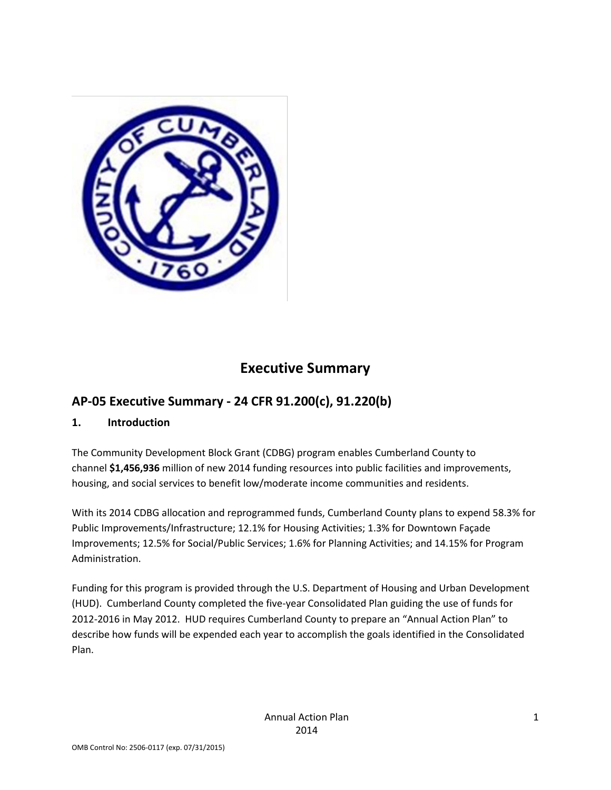

# **Executive Summary**

### **AP-05 Executive Summary - 24 CFR 91.200(c), 91.220(b)**

### **1. Introduction**

The Community Development Block Grant (CDBG) program enables Cumberland County to channel **\$1,456,936** million of new 2014 funding resources into public facilities and improvements, housing, and social services to benefit low/moderate income communities and residents.

With its 2014 CDBG allocation and reprogrammed funds, Cumberland County plans to expend 58.3% for Public Improvements/Infrastructure; 12.1% for Housing Activities; 1.3% for Downtown Façade Improvements; 12.5% for Social/Public Services; 1.6% for Planning Activities; and 14.15% for Program Administration.

Funding for this program is provided through the U.S. Department of Housing and Urban Development (HUD). Cumberland County completed the five-year Consolidated Plan guiding the use of funds for 2012-2016 in May 2012. HUD requires Cumberland County to prepare an "Annual Action Plan" to describe how funds will be expended each year to accomplish the goals identified in the Consolidated Plan.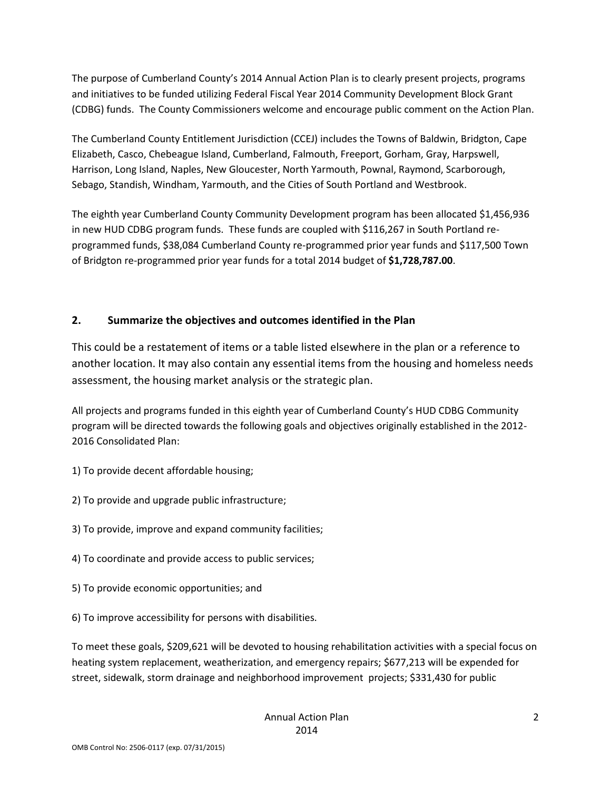The purpose of Cumberland County's 2014 Annual Action Plan is to clearly present projects, programs and initiatives to be funded utilizing Federal Fiscal Year 2014 Community Development Block Grant (CDBG) funds. The County Commissioners welcome and encourage public comment on the Action Plan.

The Cumberland County Entitlement Jurisdiction (CCEJ) includes the Towns of Baldwin, Bridgton, Cape Elizabeth, Casco, Chebeague Island, Cumberland, Falmouth, Freeport, Gorham, Gray, Harpswell, Harrison, Long Island, Naples, New Gloucester, North Yarmouth, Pownal, Raymond, Scarborough, Sebago, Standish, Windham, Yarmouth, and the Cities of South Portland and Westbrook.

The eighth year Cumberland County Community Development program has been allocated \$1,456,936 in new HUD CDBG program funds. These funds are coupled with \$116,267 in South Portland reprogrammed funds, \$38,084 Cumberland County re-programmed prior year funds and \$117,500 Town of Bridgton re-programmed prior year funds for a total 2014 budget of **\$1,728,787.00**.

### **2. Summarize the objectives and outcomes identified in the Plan**

This could be a restatement of items or a table listed elsewhere in the plan or a reference to another location. It may also contain any essential items from the housing and homeless needs assessment, the housing market analysis or the strategic plan.

All projects and programs funded in this eighth year of Cumberland County's HUD CDBG Community program will be directed towards the following goals and objectives originally established in the 2012- 2016 Consolidated Plan:

- 1) To provide decent affordable housing;
- 2) To provide and upgrade public infrastructure;
- 3) To provide, improve and expand community facilities;
- 4) To coordinate and provide access to public services;
- 5) To provide economic opportunities; and
- 6) To improve accessibility for persons with disabilities.

To meet these goals, \$209,621 will be devoted to housing rehabilitation activities with a special focus on heating system replacement, weatherization, and emergency repairs; \$677,213 will be expended for street, sidewalk, storm drainage and neighborhood improvement projects; \$331,430 for public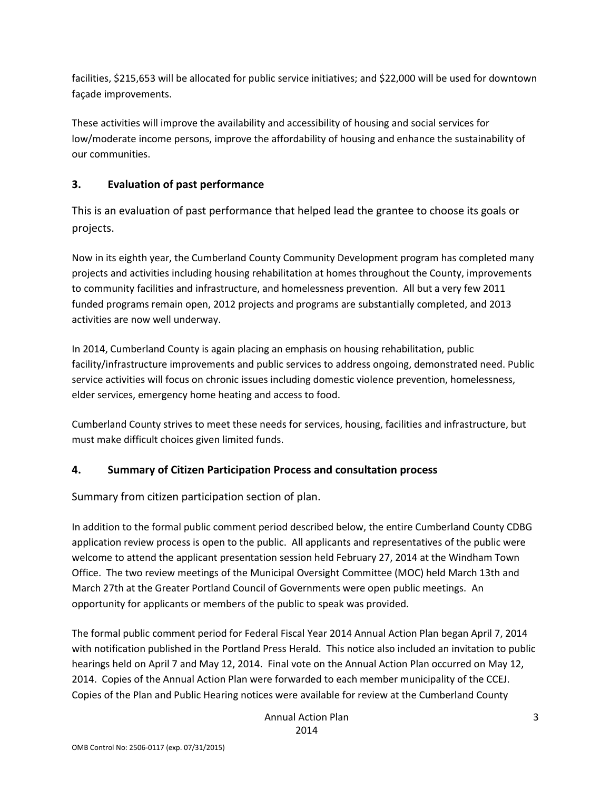facilities, \$215,653 will be allocated for public service initiatives; and \$22,000 will be used for downtown façade improvements.

These activities will improve the availability and accessibility of housing and social services for low/moderate income persons, improve the affordability of housing and enhance the sustainability of our communities.

### **3. Evaluation of past performance**

This is an evaluation of past performance that helped lead the grantee to choose its goals or projects.

Now in its eighth year, the Cumberland County Community Development program has completed many projects and activities including housing rehabilitation at homes throughout the County, improvements to community facilities and infrastructure, and homelessness prevention. All but a very few 2011 funded programs remain open, 2012 projects and programs are substantially completed, and 2013 activities are now well underway.

In 2014, Cumberland County is again placing an emphasis on housing rehabilitation, public facility/infrastructure improvements and public services to address ongoing, demonstrated need. Public service activities will focus on chronic issues including domestic violence prevention, homelessness, elder services, emergency home heating and access to food.

Cumberland County strives to meet these needs for services, housing, facilities and infrastructure, but must make difficult choices given limited funds.

### **4. Summary of Citizen Participation Process and consultation process**

Summary from citizen participation section of plan.

In addition to the formal public comment period described below, the entire Cumberland County CDBG application review process is open to the public. All applicants and representatives of the public were welcome to attend the applicant presentation session held February 27, 2014 at the Windham Town Office. The two review meetings of the Municipal Oversight Committee (MOC) held March 13th and March 27th at the Greater Portland Council of Governments were open public meetings. An opportunity for applicants or members of the public to speak was provided.

The formal public comment period for Federal Fiscal Year 2014 Annual Action Plan began April 7, 2014 with notification published in the Portland Press Herald. This notice also included an invitation to public hearings held on April 7 and May 12, 2014. Final vote on the Annual Action Plan occurred on May 12, 2014. Copies of the Annual Action Plan were forwarded to each member municipality of the CCEJ. Copies of the Plan and Public Hearing notices were available for review at the Cumberland County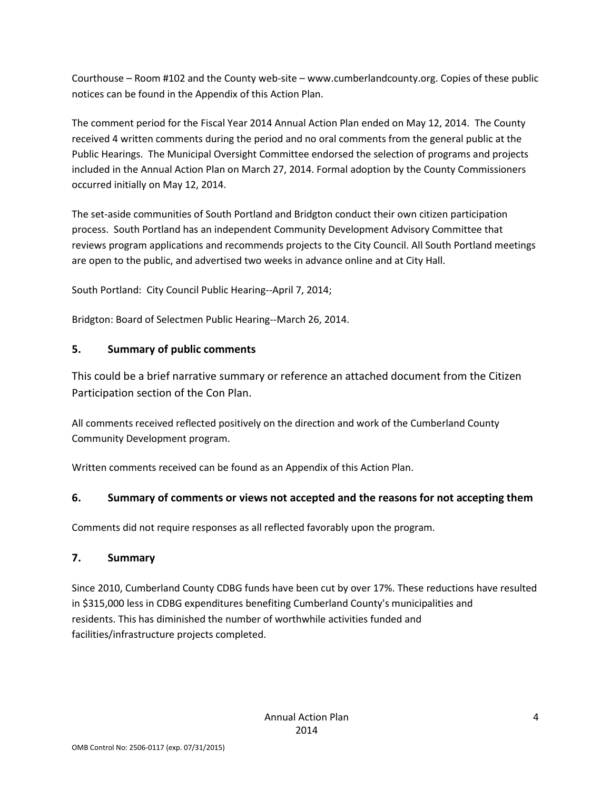Courthouse – Room #102 and the County web-site – www.cumberlandcounty.org. Copies of these public notices can be found in the Appendix of this Action Plan.

The comment period for the Fiscal Year 2014 Annual Action Plan ended on May 12, 2014. The County received 4 written comments during the period and no oral comments from the general public at the Public Hearings. The Municipal Oversight Committee endorsed the selection of programs and projects included in the Annual Action Plan on March 27, 2014. Formal adoption by the County Commissioners occurred initially on May 12, 2014.

The set-aside communities of South Portland and Bridgton conduct their own citizen participation process. South Portland has an independent Community Development Advisory Committee that reviews program applications and recommends projects to the City Council. All South Portland meetings are open to the public, and advertised two weeks in advance online and at City Hall.

South Portland: City Council Public Hearing--April 7, 2014;

Bridgton: Board of Selectmen Public Hearing--March 26, 2014.

### **5. Summary of public comments**

This could be a brief narrative summary or reference an attached document from the Citizen Participation section of the Con Plan.

All comments received reflected positively on the direction and work of the Cumberland County Community Development program.

Written comments received can be found as an Appendix of this Action Plan.

### **6. Summary of comments or views not accepted and the reasons for not accepting them**

Comments did not require responses as all reflected favorably upon the program.

### **7. Summary**

Since 2010, Cumberland County CDBG funds have been cut by over 17%. These reductions have resulted in \$315,000 less in CDBG expenditures benefiting Cumberland County's municipalities and residents. This has diminished the number of worthwhile activities funded and facilities/infrastructure projects completed.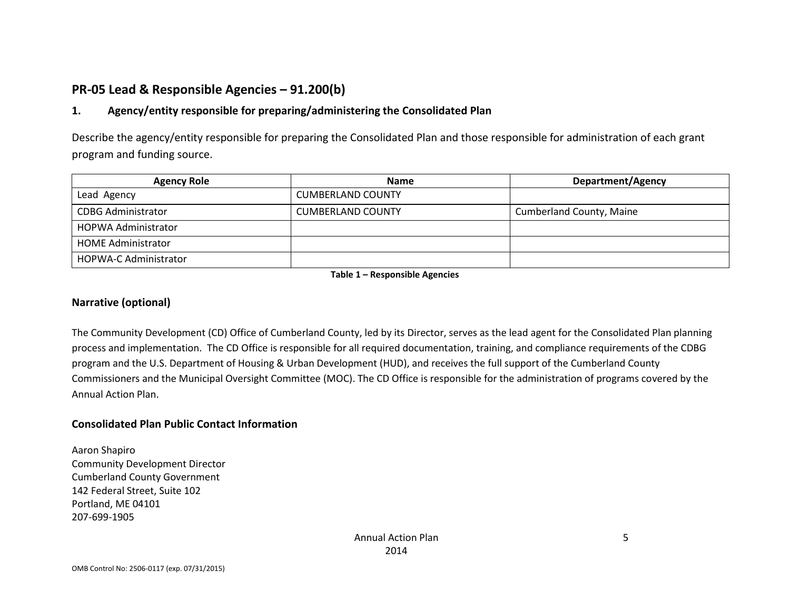## **PR-05 Lead & Responsible Agencies – 91.200(b)**

### **1. Agency/entity responsible for preparing/administering the Consolidated Plan**

Describe the agency/entity responsible for preparing the Consolidated Plan and those responsible for administration of each grant program and funding source.

| <b>Agency Role</b>           | <b>Name</b>              | Department/Agency        |
|------------------------------|--------------------------|--------------------------|
| Lead Agency                  | <b>CUMBERLAND COUNTY</b> |                          |
| <b>CDBG Administrator</b>    | <b>CUMBERLAND COUNTY</b> | Cumberland County, Maine |
| HOPWA Administrator          |                          |                          |
| <b>HOME Administrator</b>    |                          |                          |
| <b>HOPWA-C Administrator</b> |                          |                          |

**Table 1 – Responsible Agencies**

#### **Narrative (optional)**

The Community Development (CD) Office of Cumberland County, led by its Director, serves as the lead agent for the Consolidated Plan planning process and implementation. The CD Office is responsible for all required documentation, training, and compliance requirements of the CDBG program and the U.S. Department of Housing & Urban Development (HUD), and receives the full support of the Cumberland County Commissioners and the Municipal Oversight Committee (MOC). The CD Office is responsible for the administration of programs covered by the Annual Action Plan.

#### **Consolidated Plan Public Contact Information**

Aaron Shapiro Community Development Director Cumberland County Government 142 Federal Street, Suite 102 Portland, ME 04101 207-699-1905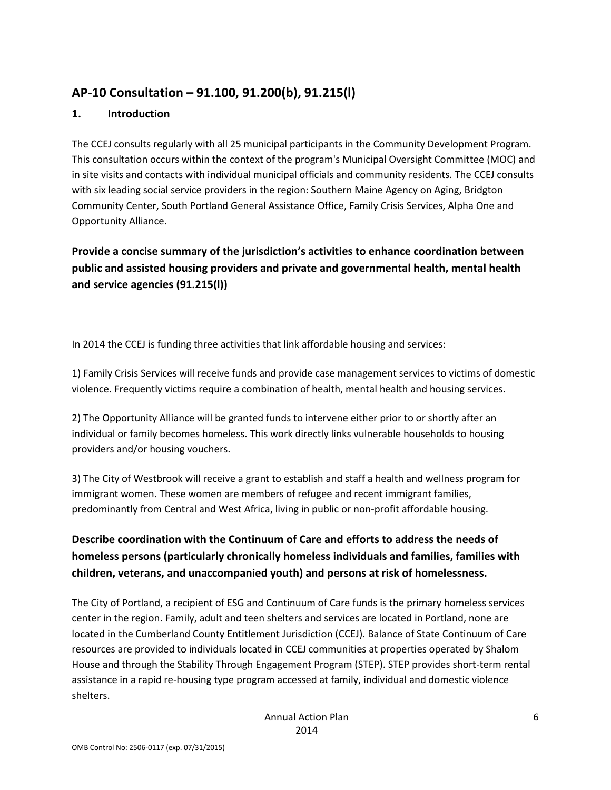## **AP-10 Consultation – 91.100, 91.200(b), 91.215(l)**

### **1. Introduction**

The CCEJ consults regularly with all 25 municipal participants in the Community Development Program. This consultation occurs within the context of the program's Municipal Oversight Committee (MOC) and in site visits and contacts with individual municipal officials and community residents. The CCEJ consults with six leading social service providers in the region: Southern Maine Agency on Aging, Bridgton Community Center, South Portland General Assistance Office, Family Crisis Services, Alpha One and Opportunity Alliance.

**Provide a concise summary of the jurisdiction's activities to enhance coordination between public and assisted housing providers and private and governmental health, mental health and service agencies (91.215(l))**

In 2014 the CCEJ is funding three activities that link affordable housing and services:

1) Family Crisis Services will receive funds and provide case management services to victims of domestic violence. Frequently victims require a combination of health, mental health and housing services.

2) The Opportunity Alliance will be granted funds to intervene either prior to or shortly after an individual or family becomes homeless. This work directly links vulnerable households to housing providers and/or housing vouchers.

3) The City of Westbrook will receive a grant to establish and staff a health and wellness program for immigrant women. These women are members of refugee and recent immigrant families, predominantly from Central and West Africa, living in public or non-profit affordable housing.

### **Describe coordination with the Continuum of Care and efforts to address the needs of homeless persons (particularly chronically homeless individuals and families, families with children, veterans, and unaccompanied youth) and persons at risk of homelessness.**

The City of Portland, a recipient of ESG and Continuum of Care funds is the primary homeless services center in the region. Family, adult and teen shelters and services are located in Portland, none are located in the Cumberland County Entitlement Jurisdiction (CCEJ). Balance of State Continuum of Care resources are provided to individuals located in CCEJ communities at properties operated by Shalom House and through the Stability Through Engagement Program (STEP). STEP provides short-term rental assistance in a rapid re-housing type program accessed at family, individual and domestic violence shelters.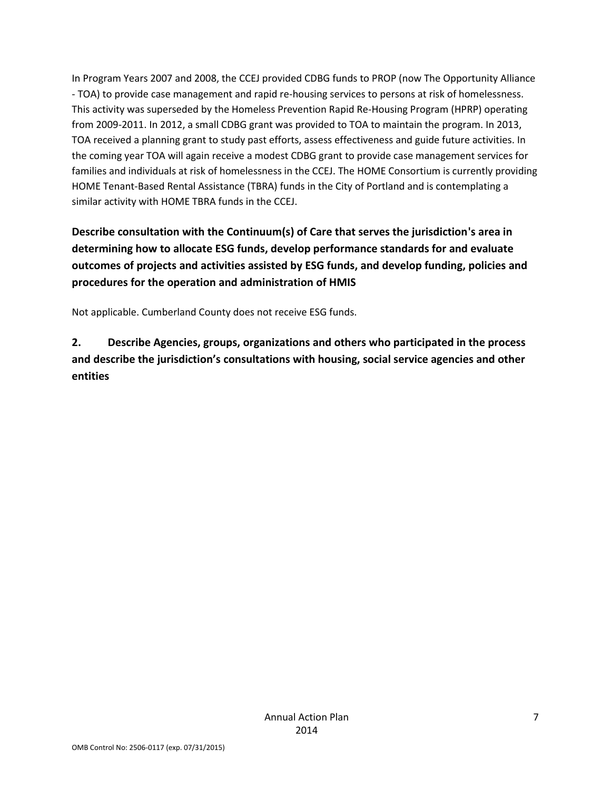In Program Years 2007 and 2008, the CCEJ provided CDBG funds to PROP (now The Opportunity Alliance - TOA) to provide case management and rapid re-housing services to persons at risk of homelessness. This activity was superseded by the Homeless Prevention Rapid Re-Housing Program (HPRP) operating from 2009-2011. In 2012, a small CDBG grant was provided to TOA to maintain the program. In 2013, TOA received a planning grant to study past efforts, assess effectiveness and guide future activities. In the coming year TOA will again receive a modest CDBG grant to provide case management services for families and individuals at risk of homelessness in the CCEJ. The HOME Consortium is currently providing HOME Tenant-Based Rental Assistance (TBRA) funds in the City of Portland and is contemplating a similar activity with HOME TBRA funds in the CCEJ.

**Describe consultation with the Continuum(s) of Care that serves the jurisdiction's area in determining how to allocate ESG funds, develop performance standards for and evaluate outcomes of projects and activities assisted by ESG funds, and develop funding, policies and procedures for the operation and administration of HMIS**

Not applicable. Cumberland County does not receive ESG funds.

**2. Describe Agencies, groups, organizations and others who participated in the process and describe the jurisdiction's consultations with housing, social service agencies and other entities**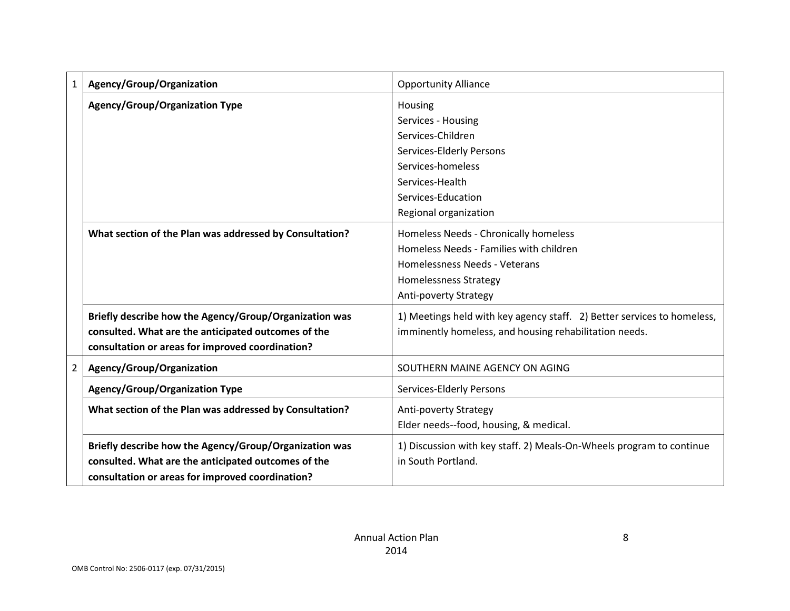| 1 | Agency/Group/Organization                               | <b>Opportunity Alliance</b>                                             |
|---|---------------------------------------------------------|-------------------------------------------------------------------------|
|   | <b>Agency/Group/Organization Type</b>                   | Housing                                                                 |
|   |                                                         | Services - Housing                                                      |
|   |                                                         | Services-Children                                                       |
|   |                                                         | Services-Elderly Persons                                                |
|   |                                                         | Services-homeless                                                       |
|   |                                                         | Services-Health                                                         |
|   |                                                         | Services-Education                                                      |
|   |                                                         | Regional organization                                                   |
|   | What section of the Plan was addressed by Consultation? | Homeless Needs - Chronically homeless                                   |
|   |                                                         | Homeless Needs - Families with children                                 |
|   |                                                         | Homelessness Needs - Veterans                                           |
|   |                                                         | <b>Homelessness Strategy</b>                                            |
|   |                                                         | <b>Anti-poverty Strategy</b>                                            |
|   | Briefly describe how the Agency/Group/Organization was  | 1) Meetings held with key agency staff. 2) Better services to homeless, |
|   | consulted. What are the anticipated outcomes of the     | imminently homeless, and housing rehabilitation needs.                  |
|   | consultation or areas for improved coordination?        |                                                                         |
| 2 | Agency/Group/Organization                               | SOUTHERN MAINE AGENCY ON AGING                                          |
|   | <b>Agency/Group/Organization Type</b>                   | Services-Elderly Persons                                                |
|   | What section of the Plan was addressed by Consultation? | Anti-poverty Strategy                                                   |
|   |                                                         | Elder needs--food, housing, & medical.                                  |
|   | Briefly describe how the Agency/Group/Organization was  | 1) Discussion with key staff. 2) Meals-On-Wheels program to continue    |
|   | consulted. What are the anticipated outcomes of the     | in South Portland.                                                      |
|   | consultation or areas for improved coordination?        |                                                                         |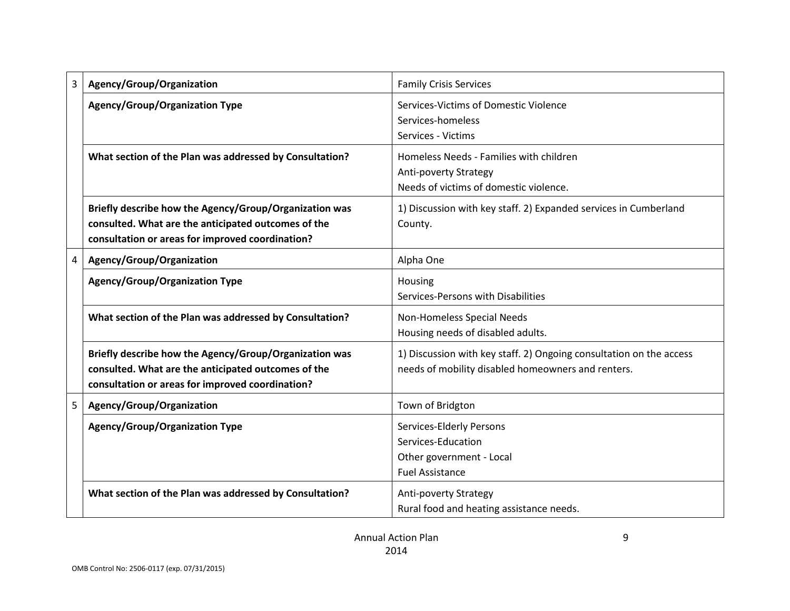| 3 | Agency/Group/Organization                                                                                                                                         | <b>Family Crisis Services</b>                                                                                             |
|---|-------------------------------------------------------------------------------------------------------------------------------------------------------------------|---------------------------------------------------------------------------------------------------------------------------|
|   | <b>Agency/Group/Organization Type</b>                                                                                                                             | Services-Victims of Domestic Violence<br>Services-homeless<br>Services - Victims                                          |
|   | What section of the Plan was addressed by Consultation?                                                                                                           | Homeless Needs - Families with children<br><b>Anti-poverty Strategy</b><br>Needs of victims of domestic violence.         |
|   | Briefly describe how the Agency/Group/Organization was<br>consulted. What are the anticipated outcomes of the<br>consultation or areas for improved coordination? | 1) Discussion with key staff. 2) Expanded services in Cumberland<br>County.                                               |
| 4 | Agency/Group/Organization                                                                                                                                         | Alpha One                                                                                                                 |
|   | <b>Agency/Group/Organization Type</b>                                                                                                                             | Housing<br>Services-Persons with Disabilities                                                                             |
|   | What section of the Plan was addressed by Consultation?                                                                                                           | Non-Homeless Special Needs<br>Housing needs of disabled adults.                                                           |
|   | Briefly describe how the Agency/Group/Organization was<br>consulted. What are the anticipated outcomes of the<br>consultation or areas for improved coordination? | 1) Discussion with key staff. 2) Ongoing consultation on the access<br>needs of mobility disabled homeowners and renters. |
| 5 | Agency/Group/Organization                                                                                                                                         | Town of Bridgton                                                                                                          |
|   | <b>Agency/Group/Organization Type</b>                                                                                                                             | Services-Elderly Persons<br>Services-Education<br>Other government - Local<br><b>Fuel Assistance</b>                      |
|   | What section of the Plan was addressed by Consultation?                                                                                                           | Anti-poverty Strategy<br>Rural food and heating assistance needs.                                                         |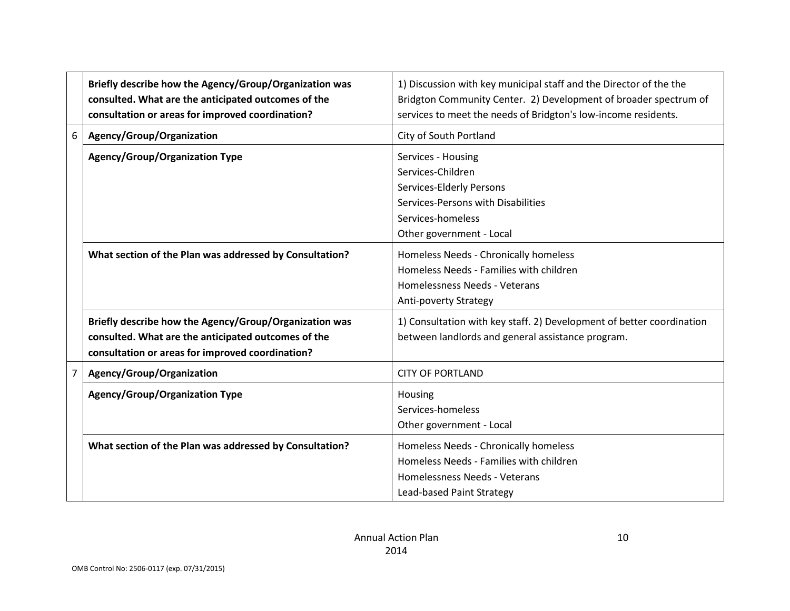|   | Briefly describe how the Agency/Group/Organization was<br>consulted. What are the anticipated outcomes of the<br>consultation or areas for improved coordination? | 1) Discussion with key municipal staff and the Director of the the<br>Bridgton Community Center. 2) Development of broader spectrum of<br>services to meet the needs of Bridgton's low-income residents. |
|---|-------------------------------------------------------------------------------------------------------------------------------------------------------------------|----------------------------------------------------------------------------------------------------------------------------------------------------------------------------------------------------------|
| 6 | Agency/Group/Organization                                                                                                                                         | City of South Portland                                                                                                                                                                                   |
|   | <b>Agency/Group/Organization Type</b>                                                                                                                             | Services - Housing<br>Services-Children<br>Services-Elderly Persons<br>Services-Persons with Disabilities<br>Services-homeless<br>Other government - Local                                               |
|   | What section of the Plan was addressed by Consultation?                                                                                                           | Homeless Needs - Chronically homeless<br>Homeless Needs - Families with children<br>Homelessness Needs - Veterans<br>Anti-poverty Strategy                                                               |
|   | Briefly describe how the Agency/Group/Organization was<br>consulted. What are the anticipated outcomes of the<br>consultation or areas for improved coordination? | 1) Consultation with key staff. 2) Development of better coordination<br>between landlords and general assistance program.                                                                               |
| 7 | Agency/Group/Organization                                                                                                                                         | <b>CITY OF PORTLAND</b>                                                                                                                                                                                  |
|   | <b>Agency/Group/Organization Type</b>                                                                                                                             | Housing<br>Services-homeless<br>Other government - Local                                                                                                                                                 |
|   | What section of the Plan was addressed by Consultation?                                                                                                           | Homeless Needs - Chronically homeless<br>Homeless Needs - Families with children<br>Homelessness Needs - Veterans<br>Lead-based Paint Strategy                                                           |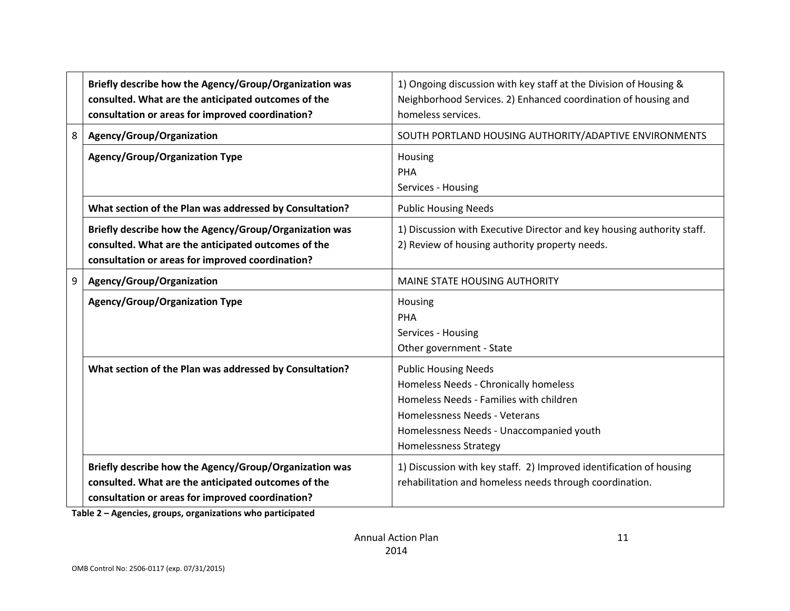|   | Briefly describe how the Agency/Group/Organization was<br>consulted. What are the anticipated outcomes of the<br>consultation or areas for improved coordination? | 1) Ongoing discussion with key staff at the Division of Housing &<br>Neighborhood Services. 2) Enhanced coordination of housing and<br>homeless services.                                                                    |
|---|-------------------------------------------------------------------------------------------------------------------------------------------------------------------|------------------------------------------------------------------------------------------------------------------------------------------------------------------------------------------------------------------------------|
| 8 | Agency/Group/Organization                                                                                                                                         | SOUTH PORTLAND HOUSING AUTHORITY/ADAPTIVE ENVIRONMENTS                                                                                                                                                                       |
|   | <b>Agency/Group/Organization Type</b>                                                                                                                             | Housing<br>PHA<br>Services - Housing                                                                                                                                                                                         |
|   | What section of the Plan was addressed by Consultation?                                                                                                           | <b>Public Housing Needs</b>                                                                                                                                                                                                  |
|   | Briefly describe how the Agency/Group/Organization was<br>consulted. What are the anticipated outcomes of the<br>consultation or areas for improved coordination? | 1) Discussion with Executive Director and key housing authority staff.<br>2) Review of housing authority property needs.                                                                                                     |
| 9 | Agency/Group/Organization                                                                                                                                         | MAINE STATE HOUSING AUTHORITY                                                                                                                                                                                                |
|   | <b>Agency/Group/Organization Type</b>                                                                                                                             | Housing<br>PHA<br>Services - Housing<br>Other government - State                                                                                                                                                             |
|   | What section of the Plan was addressed by Consultation?                                                                                                           | <b>Public Housing Needs</b><br>Homeless Needs - Chronically homeless<br>Homeless Needs - Families with children<br>Homelessness Needs - Veterans<br>Homelessness Needs - Unaccompanied youth<br><b>Homelessness Strategy</b> |
|   | Briefly describe how the Agency/Group/Organization was<br>consulted. What are the anticipated outcomes of the<br>consultation or areas for improved coordination? | 1) Discussion with key staff. 2) Improved identification of housing<br>rehabilitation and homeless needs through coordination.                                                                                               |

**Table 2 – Agencies, groups, organizations who participated**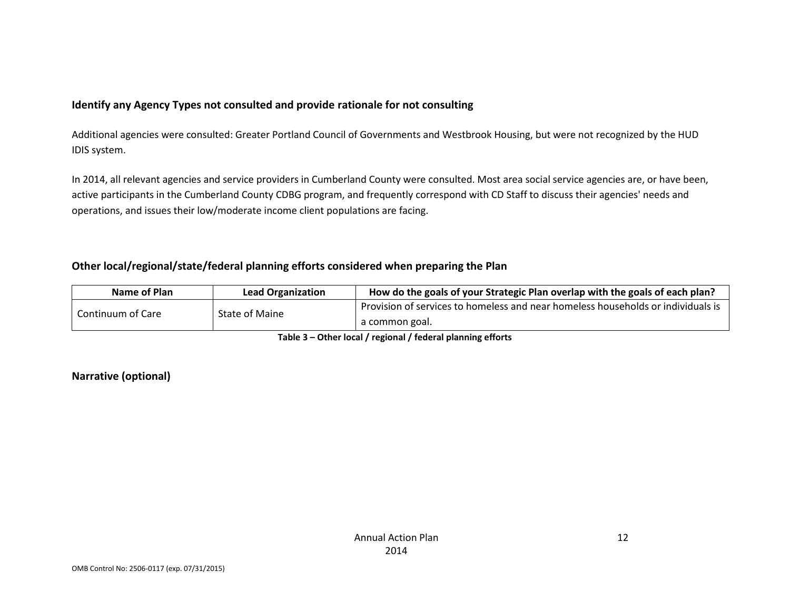### **Identify any Agency Types not consulted and provide rationale for not consulting**

Additional agencies were consulted: Greater Portland Council of Governments and Westbrook Housing, but were not recognized by the HUD IDIS system.

In 2014, all relevant agencies and service providers in Cumberland County were consulted. Most area social service agencies are, or have been, active participants in the Cumberland County CDBG program, and frequently correspond with CD Staff to discuss their agencies' needs and operations, and issues their low/moderate income client populations are facing.

### **Other local/regional/state/federal planning efforts considered when preparing the Plan**

| Name of Plan      | <b>Lead Organization</b> | How do the goals of your Strategic Plan overlap with the goals of each plan?     |
|-------------------|--------------------------|----------------------------------------------------------------------------------|
| Continuum of Care | State of Maine           | Provision of services to homeless and near homeless households or individuals is |
|                   |                          | a common goal.                                                                   |

#### **Table 3 – Other local / regional / federal planning efforts**

#### **Narrative (optional)**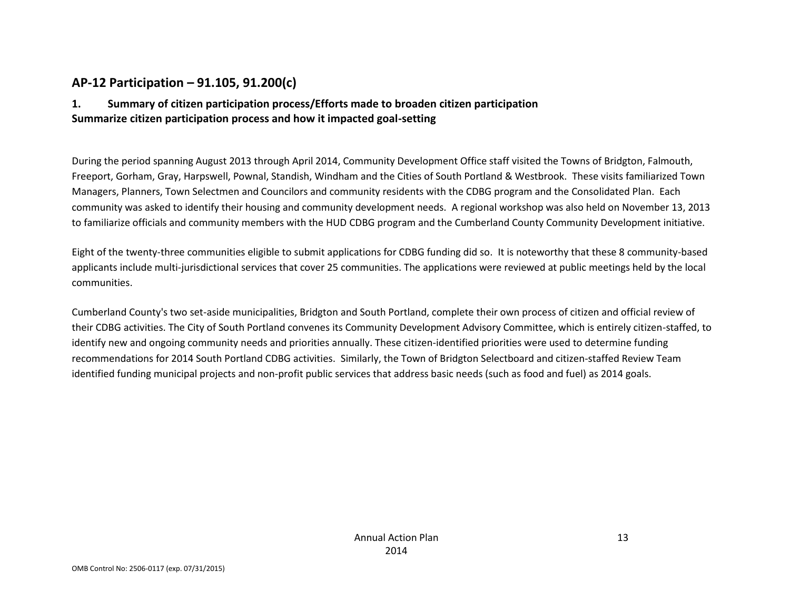### **AP-12 Participation – 91.105, 91.200(c)**

### **1. Summary of citizen participation process/Efforts made to broaden citizen participation Summarize citizen participation process and how it impacted goal-setting**

During the period spanning August 2013 through April 2014, Community Development Office staff visited the Towns of Bridgton, Falmouth, Freeport, Gorham, Gray, Harpswell, Pownal, Standish, Windham and the Cities of South Portland & Westbrook. These visits familiarized Town Managers, Planners, Town Selectmen and Councilors and community residents with the CDBG program and the Consolidated Plan. Each community was asked to identify their housing and community development needs. A regional workshop was also held on November 13, 2013 to familiarize officials and community members with the HUD CDBG program and the Cumberland County Community Development initiative.

Eight of the twenty-three communities eligible to submit applications for CDBG funding did so. It is noteworthy that these 8 community-based applicants include multi-jurisdictional services that cover 25 communities. The applications were reviewed at public meetings held by the local communities.

Cumberland County's two set-aside municipalities, Bridgton and South Portland, complete their own process of citizen and official review of their CDBG activities. The City of South Portland convenes its Community Development Advisory Committee, which is entirely citizen-staffed, to identify new and ongoing community needs and priorities annually. These citizen-identified priorities were used to determine funding recommendations for 2014 South Portland CDBG activities. Similarly, the Town of Bridgton Selectboard and citizen-staffed Review Team identified funding municipal projects and non-profit public services that address basic needs (such as food and fuel) as 2014 goals.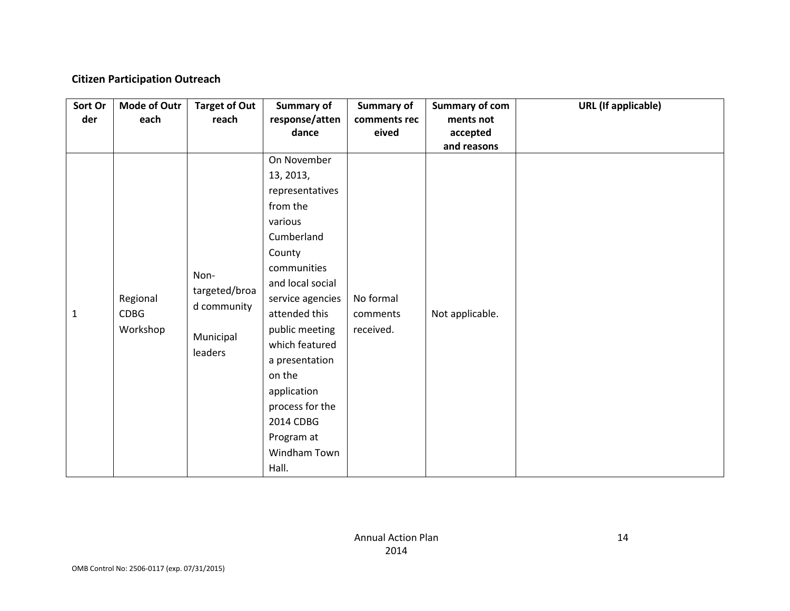### **Citizen Participation Outreach**

| Sort Or<br>der | <b>Mode of Outr</b><br>each  | <b>Target of Out</b><br>reach                                | Summary of<br>response/atten<br>dance                                                                                                                                                                                                                                                                                    | <b>Summary of</b><br>comments rec<br>eived | <b>Summary of com</b><br>ments not<br>accepted<br>and reasons | <b>URL</b> (If applicable) |
|----------------|------------------------------|--------------------------------------------------------------|--------------------------------------------------------------------------------------------------------------------------------------------------------------------------------------------------------------------------------------------------------------------------------------------------------------------------|--------------------------------------------|---------------------------------------------------------------|----------------------------|
| $\mathbf{1}$   | Regional<br>CDBG<br>Workshop | Non-<br>targeted/broa<br>d community<br>Municipal<br>leaders | On November<br>13, 2013,<br>representatives<br>from the<br>various<br>Cumberland<br>County<br>communities<br>and local social<br>service agencies<br>attended this<br>public meeting<br>which featured<br>a presentation<br>on the<br>application<br>process for the<br>2014 CDBG<br>Program at<br>Windham Town<br>Hall. | No formal<br>comments<br>received.         | Not applicable.                                               |                            |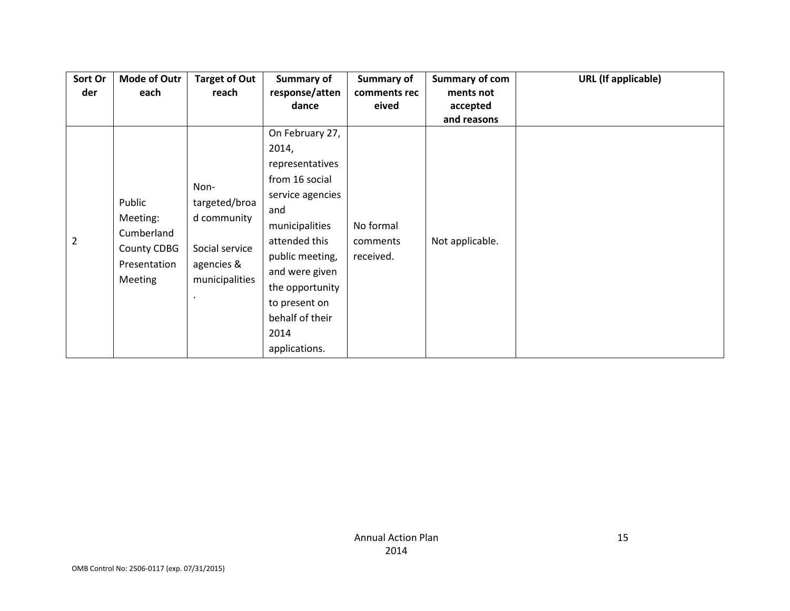| Sort Or        | <b>Mode of Outr</b> | <b>Target of Out</b>         | Summary of       | Summary of   | Summary of com  | <b>URL</b> (If applicable) |
|----------------|---------------------|------------------------------|------------------|--------------|-----------------|----------------------------|
| der            | each                | reach                        | response/atten   | comments rec | ments not       |                            |
|                |                     |                              | dance            | eived        | accepted        |                            |
|                |                     |                              |                  |              | and reasons     |                            |
|                |                     |                              | On February 27,  |              |                 |                            |
|                |                     |                              | 2014,            |              |                 |                            |
|                |                     |                              | representatives  |              |                 |                            |
|                |                     | Non-                         | from 16 social   |              |                 |                            |
|                | Public              | targeted/broa                | service agencies |              |                 |                            |
|                | Meeting:            | d community                  | and              |              |                 |                            |
|                | Cumberland          |                              | municipalities   | No formal    |                 |                            |
| $\overline{2}$ | County CDBG         | Social service               | attended this    | comments     | Not applicable. |                            |
|                |                     |                              | public meeting,  | received.    |                 |                            |
|                | Presentation        | agencies &<br>municipalities | and were given   |              |                 |                            |
|                | <b>Meeting</b>      |                              | the opportunity  |              |                 |                            |
|                |                     |                              | to present on    |              |                 |                            |
|                |                     |                              | behalf of their  |              |                 |                            |
|                |                     |                              | 2014             |              |                 |                            |
|                |                     |                              | applications.    |              |                 |                            |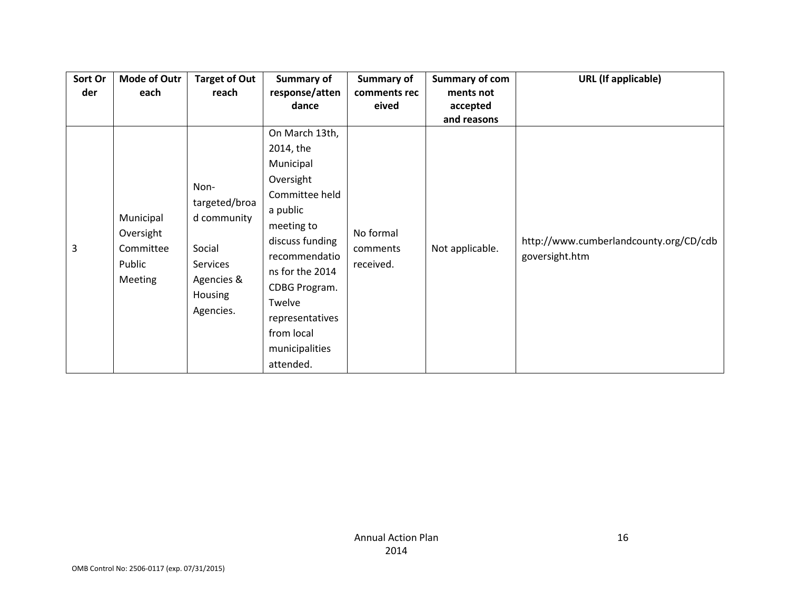| Sort Or | <b>Mode of Outr</b> | <b>Target of Out</b> | Summary of      | Summary of   | <b>Summary of com</b> | <b>URL</b> (If applicable)             |
|---------|---------------------|----------------------|-----------------|--------------|-----------------------|----------------------------------------|
| der     | each                | reach                | response/atten  | comments rec | ments not             |                                        |
|         |                     |                      | dance           | eived        | accepted              |                                        |
|         |                     |                      |                 |              | and reasons           |                                        |
|         |                     |                      | On March 13th,  |              |                       |                                        |
|         |                     |                      | 2014, the       |              |                       |                                        |
|         |                     |                      | Municipal       |              |                       |                                        |
|         |                     | Non-                 | Oversight       |              |                       |                                        |
|         |                     |                      | Committee held  |              |                       |                                        |
|         |                     | targeted/broa        | a public        |              |                       |                                        |
|         | Municipal           | d community          | meeting to      |              |                       |                                        |
|         | Oversight           |                      | discuss funding | No formal    |                       | http://www.cumberlandcounty.org/CD/cdb |
| 3       | Committee           | Social               | recommendatio   | comments     | Not applicable.       | goversight.htm                         |
|         | Public              | <b>Services</b>      | ns for the 2014 | received.    |                       |                                        |
|         | <b>Meeting</b>      | Agencies &           | CDBG Program.   |              |                       |                                        |
|         |                     | <b>Housing</b>       | Twelve          |              |                       |                                        |
|         |                     | Agencies.            | representatives |              |                       |                                        |
|         |                     |                      | from local      |              |                       |                                        |
|         |                     |                      | municipalities  |              |                       |                                        |
|         |                     |                      | attended.       |              |                       |                                        |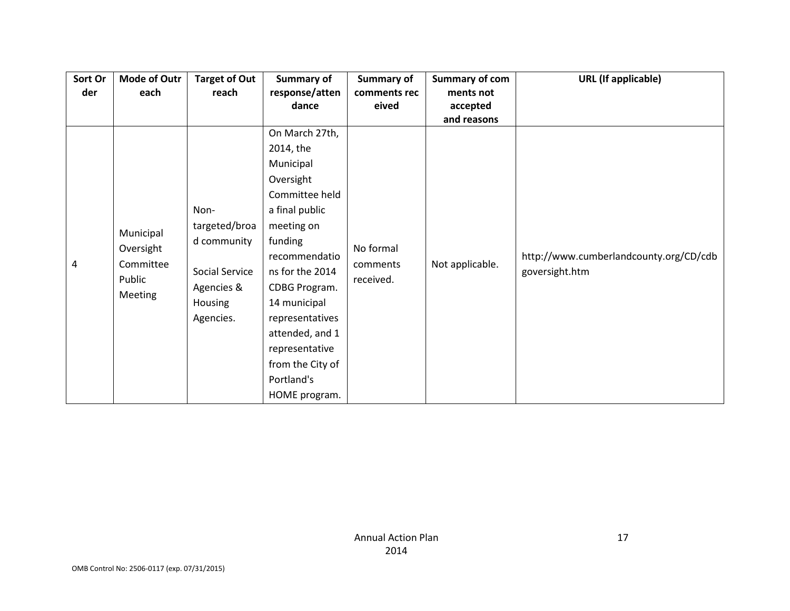| Sort Or | <b>Mode of Outr</b>      | <b>Target of Out</b> | Summary of       | Summary of   | Summary of com  | <b>URL</b> (If applicable)             |
|---------|--------------------------|----------------------|------------------|--------------|-----------------|----------------------------------------|
| der     | each                     | reach                | response/atten   | comments rec | ments not       |                                        |
|         |                          |                      | dance            | eived        | accepted        |                                        |
|         |                          |                      |                  |              | and reasons     |                                        |
|         |                          |                      | On March 27th,   |              |                 |                                        |
|         |                          |                      | 2014, the        |              |                 |                                        |
|         |                          |                      | Municipal        |              |                 |                                        |
|         |                          |                      | Oversight        |              |                 |                                        |
|         |                          |                      | Committee held   |              |                 |                                        |
|         |                          | Non-                 | a final public   |              |                 |                                        |
|         |                          | targeted/broa        | meeting on       |              |                 |                                        |
|         | Municipal                | d community          | funding          |              |                 |                                        |
|         | Oversight                |                      | recommendatio    | No formal    |                 | http://www.cumberlandcounty.org/CD/cdb |
| 4       | Committee                | Social Service       | ns for the 2014  | comments     | Not applicable. | goversight.htm                         |
|         | Public<br><b>Meeting</b> | Agencies &           | CDBG Program.    | received.    |                 |                                        |
|         |                          | Housing              | 14 municipal     |              |                 |                                        |
|         |                          | Agencies.            | representatives  |              |                 |                                        |
|         |                          |                      | attended, and 1  |              |                 |                                        |
|         |                          |                      | representative   |              |                 |                                        |
|         |                          |                      | from the City of |              |                 |                                        |
|         |                          |                      | Portland's       |              |                 |                                        |
|         |                          |                      | HOME program.    |              |                 |                                        |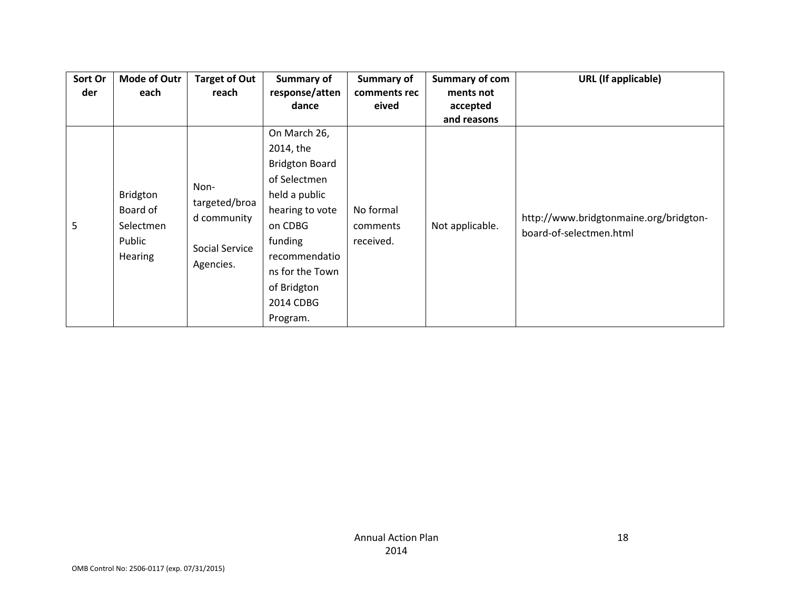| Sort Or<br>der | <b>Mode of Outr</b><br>each                            | <b>Target of Out</b><br>reach                                       | <b>Summary of</b><br>response/atten                                                                                                                                                                      | Summary of<br>comments rec         | Summary of com<br>ments not | <b>URL</b> (If applicable)                                        |
|----------------|--------------------------------------------------------|---------------------------------------------------------------------|----------------------------------------------------------------------------------------------------------------------------------------------------------------------------------------------------------|------------------------------------|-----------------------------|-------------------------------------------------------------------|
|                |                                                        |                                                                     | dance                                                                                                                                                                                                    | eived                              | accepted<br>and reasons     |                                                                   |
| 5              | Bridgton<br>Board of<br>Selectmen<br>Public<br>Hearing | Non-<br>targeted/broa<br>d community<br>Social Service<br>Agencies. | On March 26,<br>2014, the<br><b>Bridgton Board</b><br>of Selectmen<br>held a public<br>hearing to vote<br>on CDBG<br>funding<br>recommendatio<br>ns for the Town<br>of Bridgton<br>2014 CDBG<br>Program. | No formal<br>comments<br>received. | Not applicable.             | http://www.bridgtonmaine.org/bridgton-<br>board-of-selectmen.html |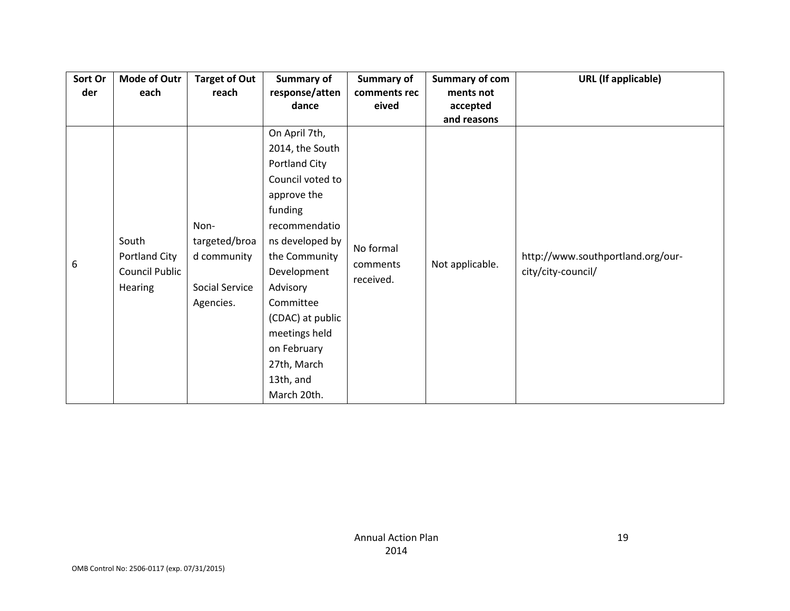| Sort Or | <b>Mode of Outr</b> | <b>Target of Out</b> | Summary of       | Summary of   | <b>Summary of com</b> | <b>URL</b> (If applicable)        |
|---------|---------------------|----------------------|------------------|--------------|-----------------------|-----------------------------------|
| der     | each                | reach                | response/atten   | comments rec | ments not             |                                   |
|         |                     |                      | dance            | eived        | accepted              |                                   |
|         |                     |                      |                  |              | and reasons           |                                   |
|         |                     |                      | On April 7th,    |              |                       |                                   |
|         |                     |                      | 2014, the South  |              |                       |                                   |
|         |                     |                      | Portland City    |              |                       |                                   |
|         |                     |                      | Council voted to |              |                       |                                   |
|         |                     |                      | approve the      |              |                       |                                   |
|         |                     |                      | funding          |              |                       |                                   |
|         |                     | Non-                 | recommendatio    |              |                       |                                   |
|         | South               | targeted/broa        | ns developed by  | No formal    |                       |                                   |
| 6       | Portland City       | d community          | the Community    | comments     | Not applicable.       | http://www.southportland.org/our- |
|         | Council Public      |                      | Development      | received.    |                       | city/city-council/                |
|         | Hearing             | Social Service       | Advisory         |              |                       |                                   |
|         |                     | Agencies.            | Committee        |              |                       |                                   |
|         |                     |                      | (CDAC) at public |              |                       |                                   |
|         |                     |                      | meetings held    |              |                       |                                   |
|         |                     |                      | on February      |              |                       |                                   |
|         |                     |                      | 27th, March      |              |                       |                                   |
|         |                     |                      | 13th, and        |              |                       |                                   |
|         |                     |                      | March 20th.      |              |                       |                                   |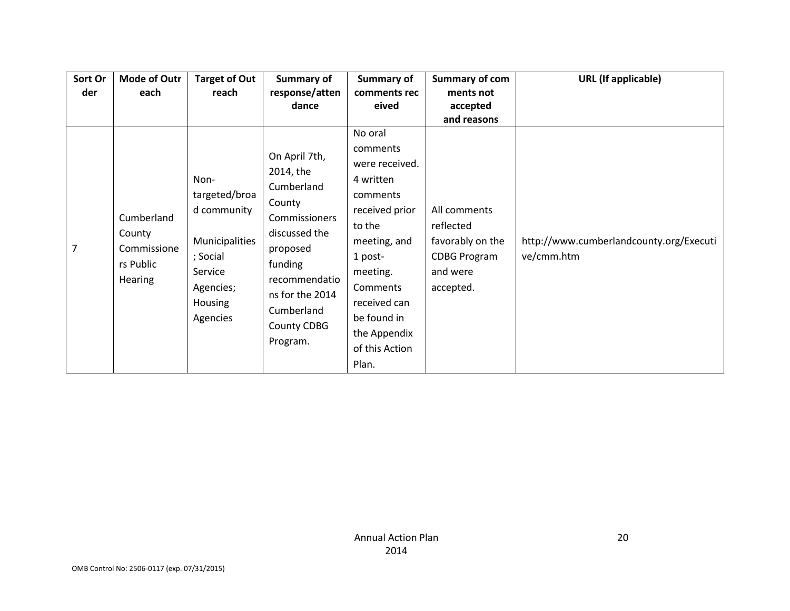| Sort Or | <b>Mode of Outr</b>                 | <b>Target of Out</b>                                    | Summary of                                                                                                | Summary of                                                                                                          | Summary of com                                                           | <b>URL</b> (If applicable)              |
|---------|-------------------------------------|---------------------------------------------------------|-----------------------------------------------------------------------------------------------------------|---------------------------------------------------------------------------------------------------------------------|--------------------------------------------------------------------------|-----------------------------------------|
| der     | each                                | reach                                                   | response/atten                                                                                            | comments rec                                                                                                        | ments not                                                                |                                         |
|         |                                     |                                                         |                                                                                                           |                                                                                                                     |                                                                          |                                         |
| 7       | Cumberland<br>County<br>Commissione | Non-<br>targeted/broa<br>d community<br>Municipalities  | dance<br>On April 7th,<br>2014, the<br>Cumberland<br>County<br>Commissioners<br>discussed the<br>proposed | eived<br>No oral<br>comments<br>were received.<br>4 written<br>comments<br>received prior<br>to the<br>meeting, and | accepted<br>and reasons<br>All comments<br>reflected<br>favorably on the | http://www.cumberlandcounty.org/Executi |
|         | rs Public<br><b>Hearing</b>         | ; Social<br>Service<br>Agencies;<br>Housing<br>Agencies | funding<br>recommendatio<br>ns for the 2014<br>Cumberland<br>County CDBG<br>Program.                      | 1 post-<br>meeting.<br>Comments<br>received can<br>be found in<br>the Appendix<br>of this Action<br>Plan.           | <b>CDBG Program</b><br>and were<br>accepted.                             | ve/cmm.htm                              |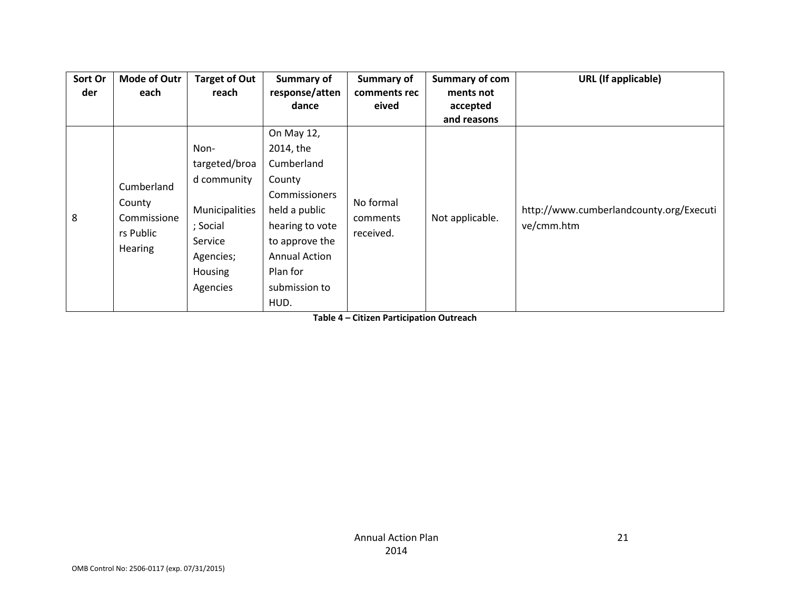| Sort Or | <b>Mode of Outr</b>                                                | <b>Target of Out</b> | Summary of           | Summary of                         | <b>Summary of com</b> | <b>URL</b> (If applicable)                            |
|---------|--------------------------------------------------------------------|----------------------|----------------------|------------------------------------|-----------------------|-------------------------------------------------------|
| der     | each                                                               | reach                | response/atten       | comments rec                       | ments not             |                                                       |
|         |                                                                    |                      | dance                | eived                              | accepted              |                                                       |
|         |                                                                    |                      |                      |                                    | and reasons           |                                                       |
|         |                                                                    |                      | On May 12,           |                                    |                       |                                                       |
|         |                                                                    | Non-                 | 2014, the            |                                    |                       |                                                       |
|         | Cumberland<br>County<br>Commissione<br>rs Public<br><b>Hearing</b> | targeted/broa        | Cumberland           |                                    | Not applicable.       | http://www.cumberlandcounty.org/Executi<br>ve/cmm.htm |
|         |                                                                    | d community          | County               | No formal<br>comments<br>received. |                       |                                                       |
|         |                                                                    |                      | Commissioners        |                                    |                       |                                                       |
| 8       |                                                                    | Municipalities       | held a public        |                                    |                       |                                                       |
|         |                                                                    | ; Social             | hearing to vote      |                                    |                       |                                                       |
|         |                                                                    | Service              | to approve the       |                                    |                       |                                                       |
|         |                                                                    | Agencies;            | <b>Annual Action</b> |                                    |                       |                                                       |
|         |                                                                    | <b>Housing</b>       | Plan for             |                                    |                       |                                                       |
|         |                                                                    | Agencies             | submission to        |                                    |                       |                                                       |
|         |                                                                    |                      | HUD.                 |                                    |                       |                                                       |

**Table 4 – Citizen Participation Outreach**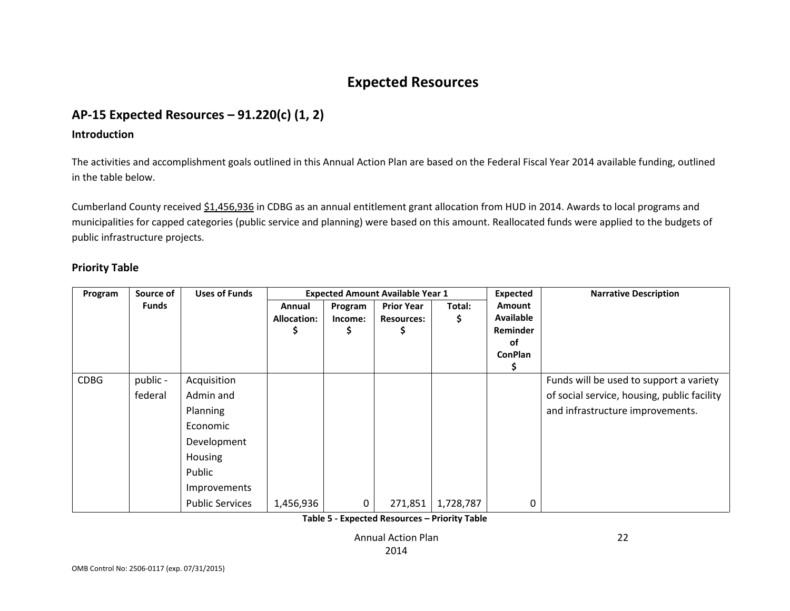# **Expected Resources**

## **AP-15 Expected Resources – 91.220(c) (1, 2)**

#### **Introduction**

The activities and accomplishment goals outlined in this Annual Action Plan are based on the Federal Fiscal Year 2014 available funding, outlined in the table below.

Cumberland County received \$1,456,936 in CDBG as an annual entitlement grant allocation from HUD in 2014. Awards to local programs and municipalities for capped categories (public service and planning) were based on this amount. Reallocated funds were applied to the budgets of public infrastructure projects.

### **Priority Table**

| Program     | Source of           | <b>Uses of Funds</b>                                                                                                           |                            |                          | <b>Expected Amount Available Year 1</b>     |             | <b>Expected</b>                                                | <b>Narrative Description</b>                                                                                               |
|-------------|---------------------|--------------------------------------------------------------------------------------------------------------------------------|----------------------------|--------------------------|---------------------------------------------|-------------|----------------------------------------------------------------|----------------------------------------------------------------------------------------------------------------------------|
|             | <b>Funds</b>        |                                                                                                                                | Annual<br>Allocation:<br>S | Program<br>Income:<br>\$ | <b>Prior Year</b><br><b>Resources:</b><br>S | Total:<br>S | Amount<br><b>Available</b><br>Reminder<br>οf<br><b>ConPlan</b> |                                                                                                                            |
| <b>CDBG</b> | public -<br>federal | Acquisition<br>Admin and<br>Planning<br>Economic<br>Development<br>Housing<br>Public<br>Improvements<br><b>Public Services</b> | 1,456,936                  | 0                        | 271,851                                     | 1,728,787   | 0                                                              | Funds will be used to support a variety<br>of social service, housing, public facility<br>and infrastructure improvements. |

**Table 5 - Expected Resources – Priority Table**

Annual Action Plan

22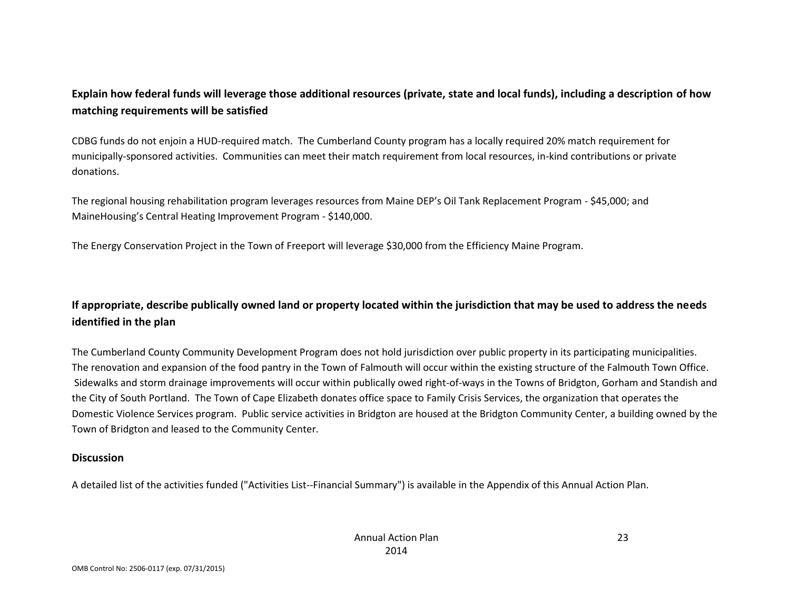### **Explain how federal funds will leverage those additional resources (private, state and local funds), including a description of how matching requirements will be satisfied**

CDBG funds do not enjoin a HUD-required match. The Cumberland County program has a locally required 20% match requirement for municipally-sponsored activities. Communities can meet their match requirement from local resources, in-kind contributions or private donations.

The regional housing rehabilitation program leverages resources from Maine DEP's Oil Tank Replacement Program - \$45,000; and MaineHousing's Central Heating Improvement Program - \$140,000.

The Energy Conservation Project in the Town of Freeport will leverage \$30,000 from the Efficiency Maine Program.

### **If appropriate, describe publically owned land or property located within the jurisdiction that may be used to address the needs identified in the plan**

The Cumberland County Community Development Program does not hold jurisdiction over public property in its participating municipalities. The renovation and expansion of the food pantry in the Town of Falmouth will occur within the existing structure of the Falmouth Town Office. Sidewalks and storm drainage improvements will occur within publically owed right-of-ways in the Towns of Bridgton, Gorham and Standish and the City of South Portland. The Town of Cape Elizabeth donates office space to Family Crisis Services, the organization that operates the Domestic Violence Services program. Public service activities in Bridgton are housed at the Bridgton Community Center, a building owned by the Town of Bridgton and leased to the Community Center.

#### **Discussion**

A detailed list of the activities funded ("Activities List--Financial Summary") is available in the Appendix of this Annual Action Plan.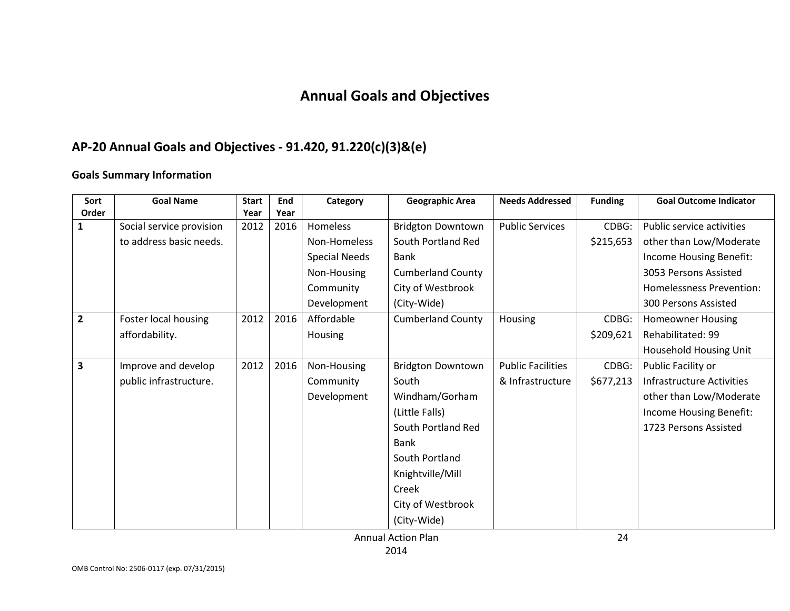# **Annual Goals and Objectives**

# **AP-20 Annual Goals and Objectives - 91.420, 91.220(c)(3)&(e)**

### **Goals Summary Information**

| Sort<br>Order  | <b>Goal Name</b>         | <b>Start</b><br>Year | End<br>Year | Category             | <b>Geographic Area</b>   | <b>Needs Addressed</b>   | <b>Funding</b> | <b>Goal Outcome Indicator</b>   |
|----------------|--------------------------|----------------------|-------------|----------------------|--------------------------|--------------------------|----------------|---------------------------------|
| 1              | Social service provision | 2012                 | 2016        | Homeless             | <b>Bridgton Downtown</b> | <b>Public Services</b>   | CDBG:          | Public service activities       |
|                | to address basic needs.  |                      |             | Non-Homeless         | South Portland Red       |                          | \$215,653      | other than Low/Moderate         |
|                |                          |                      |             | <b>Special Needs</b> | <b>Bank</b>              |                          |                | Income Housing Benefit:         |
|                |                          |                      |             | Non-Housing          | <b>Cumberland County</b> |                          |                | 3053 Persons Assisted           |
|                |                          |                      |             |                      |                          |                          |                |                                 |
|                |                          |                      |             | Community            | City of Westbrook        |                          |                | <b>Homelessness Prevention:</b> |
|                |                          |                      |             | Development          | (City-Wide)              |                          |                | 300 Persons Assisted            |
| $\overline{2}$ | Foster local housing     | 2012                 | 2016        | Affordable           | <b>Cumberland County</b> | Housing                  | CDBG:          | <b>Homeowner Housing</b>        |
|                | affordability.           |                      |             | Housing              |                          |                          | \$209,621      | Rehabilitated: 99               |
|                |                          |                      |             |                      |                          |                          |                | <b>Household Housing Unit</b>   |
| 3              | Improve and develop      | 2012                 | 2016        | Non-Housing          | <b>Bridgton Downtown</b> | <b>Public Facilities</b> | CDBG:          | Public Facility or              |
|                | public infrastructure.   |                      |             | Community            | South                    | & Infrastructure         | \$677,213      | Infrastructure Activities       |
|                |                          |                      |             | Development          | Windham/Gorham           |                          |                | other than Low/Moderate         |
|                |                          |                      |             |                      | (Little Falls)           |                          |                | Income Housing Benefit:         |
|                |                          |                      |             |                      | South Portland Red       |                          |                | 1723 Persons Assisted           |
|                |                          |                      |             |                      | <b>Bank</b>              |                          |                |                                 |
|                |                          |                      |             |                      | South Portland           |                          |                |                                 |
|                |                          |                      |             |                      | Knightville/Mill         |                          |                |                                 |
|                |                          |                      |             |                      | Creek                    |                          |                |                                 |
|                |                          |                      |             |                      | City of Westbrook        |                          |                |                                 |
|                |                          |                      |             |                      | (City-Wide)              |                          |                |                                 |

Annual Action Plan 2014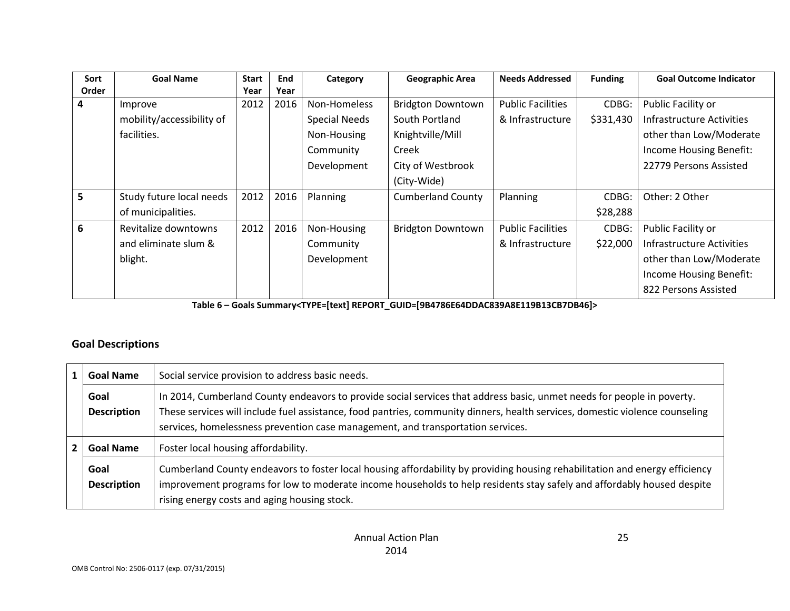| Sort  | <b>Goal Name</b>          | <b>Start</b> | End  | Category             | <b>Geographic Area</b>   | <b>Needs Addressed</b>   | <b>Funding</b> | <b>Goal Outcome Indicator</b> |
|-------|---------------------------|--------------|------|----------------------|--------------------------|--------------------------|----------------|-------------------------------|
| Order |                           | Year         | Year |                      |                          |                          |                |                               |
| 4     | Improve                   | 2012         | 2016 | Non-Homeless         | <b>Bridgton Downtown</b> | <b>Public Facilities</b> | CDBG:          | Public Facility or            |
|       | mobility/accessibility of |              |      | <b>Special Needs</b> | South Portland           | & Infrastructure         | \$331,430      | Infrastructure Activities     |
|       | facilities.               |              |      | Non-Housing          | Knightville/Mill         |                          |                | other than Low/Moderate       |
|       |                           |              |      | Community            | Creek                    |                          |                | Income Housing Benefit:       |
|       |                           |              |      | Development          | City of Westbrook        |                          |                | 22779 Persons Assisted        |
|       |                           |              |      |                      | (City-Wide)              |                          |                |                               |
| 5     | Study future local needs  | 2012         | 2016 | Planning             | <b>Cumberland County</b> | Planning                 | CDBG:          | Other: 2 Other                |
|       | of municipalities.        |              |      |                      |                          |                          | \$28,288       |                               |
| 6     | Revitalize downtowns      | 2012         | 2016 | Non-Housing          | <b>Bridgton Downtown</b> | <b>Public Facilities</b> | CDBG:          | Public Facility or            |
|       | and eliminate slum &      |              |      | Community            |                          | & Infrastructure         | \$22,000       | Infrastructure Activities     |
|       | blight.                   |              |      | Development          |                          |                          |                | other than Low/Moderate       |
|       |                           |              |      |                      |                          |                          |                | Income Housing Benefit:       |
|       |                           |              |      |                      |                          |                          |                | 822 Persons Assisted          |

**Table 6 – Goals Summary<TYPE=[text] REPORT\_GUID=[9B4786E64DDAC839A8E119B13CB7DB46]>**

### **Goal Descriptions**

| <b>Goal Name</b>           | Social service provision to address basic needs.                                                                                                                                                                                                                                                                                          |
|----------------------------|-------------------------------------------------------------------------------------------------------------------------------------------------------------------------------------------------------------------------------------------------------------------------------------------------------------------------------------------|
| Goal<br><b>Description</b> | In 2014, Cumberland County endeavors to provide social services that address basic, unmet needs for people in poverty.<br>These services will include fuel assistance, food pantries, community dinners, health services, domestic violence counseling<br>services, homelessness prevention case management, and transportation services. |
| <b>Goal Name</b>           | Foster local housing affordability.                                                                                                                                                                                                                                                                                                       |
| Goal<br><b>Description</b> | Cumberland County endeavors to foster local housing affordability by providing housing rehabilitation and energy efficiency<br>improvement programs for low to moderate income households to help residents stay safely and affordably housed despite<br>rising energy costs and aging housing stock.                                     |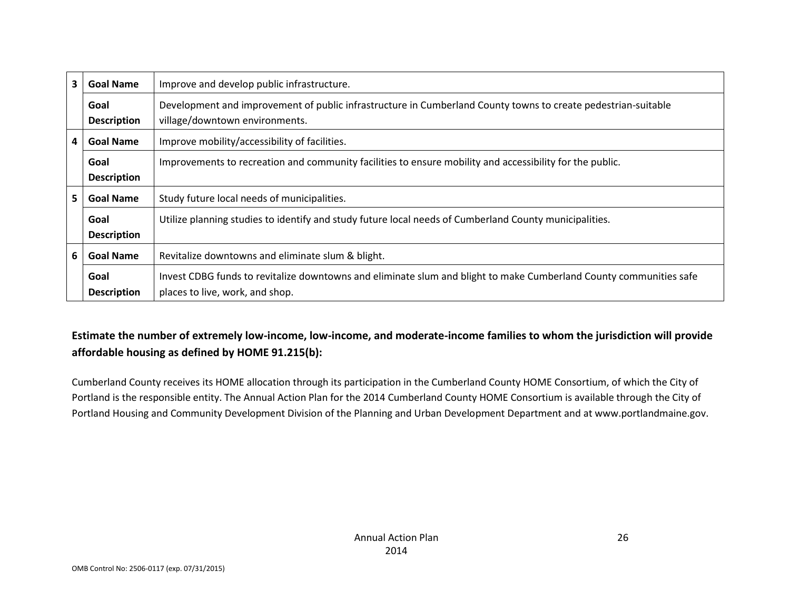| 3  | <b>Goal Name</b>           | Improve and develop public infrastructure.                                                                                                            |
|----|----------------------------|-------------------------------------------------------------------------------------------------------------------------------------------------------|
|    | Goal<br><b>Description</b> | Development and improvement of public infrastructure in Cumberland County towns to create pedestrian-suitable<br>village/downtown environments.       |
| 4  | <b>Goal Name</b>           | Improve mobility/accessibility of facilities.                                                                                                         |
|    | Goal<br><b>Description</b> | Improvements to recreation and community facilities to ensure mobility and accessibility for the public.                                              |
| 5. | <b>Goal Name</b>           | Study future local needs of municipalities.                                                                                                           |
|    | Goal<br><b>Description</b> | Utilize planning studies to identify and study future local needs of Cumberland County municipalities.                                                |
| 6  | <b>Goal Name</b>           | Revitalize downtowns and eliminate slum & blight.                                                                                                     |
|    | Goal<br><b>Description</b> | Invest CDBG funds to revitalize downtowns and eliminate slum and blight to make Cumberland County communities safe<br>places to live, work, and shop. |

### **Estimate the number of extremely low-income, low-income, and moderate-income families to whom the jurisdiction will provide affordable housing as defined by HOME 91.215(b):**

Cumberland County receives its HOME allocation through its participation in the Cumberland County HOME Consortium, of which the City of Portland is the responsible entity. The Annual Action Plan for the 2014 Cumberland County HOME Consortium is available through the City of Portland Housing and Community Development Division of the Planning and Urban Development Department and at www.portlandmaine.gov.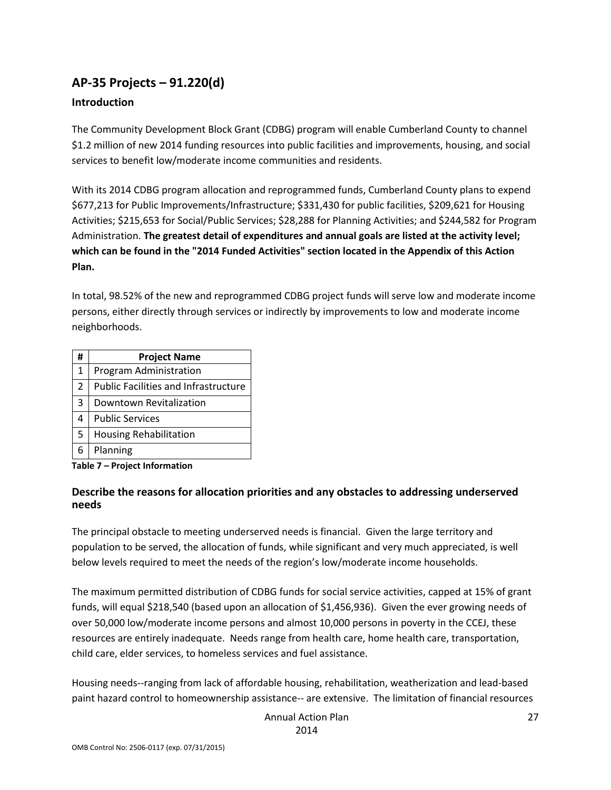## **AP-35 Projects – 91.220(d)**

### **Introduction**

The Community Development Block Grant (CDBG) program will enable Cumberland County to channel \$1.2 million of new 2014 funding resources into public facilities and improvements, housing, and social services to benefit low/moderate income communities and residents.

With its 2014 CDBG program allocation and reprogrammed funds, Cumberland County plans to expend \$677,213 for Public Improvements/Infrastructure; \$331,430 for public facilities, \$209,621 for Housing Activities; \$215,653 for Social/Public Services; \$28,288 for Planning Activities; and \$244,582 for Program Administration. **The greatest detail of expenditures and annual goals are listed at the activity level; which can be found in the "2014 Funded Activities" section located in the Appendix of this Action Plan.**

In total, 98.52% of the new and reprogrammed CDBG project funds will serve low and moderate income persons, either directly through services or indirectly by improvements to low and moderate income neighborhoods.

| # | <b>Project Name</b>                         |
|---|---------------------------------------------|
| 1 | Program Administration                      |
| 2 | <b>Public Facilities and Infrastructure</b> |
| 3 | Downtown Revitalization                     |
| 4 | <b>Public Services</b>                      |
| 5 | <b>Housing Rehabilitation</b>               |
| 6 | Planning                                    |

**Table 7 – Project Information**

### **Describe the reasons for allocation priorities and any obstacles to addressing underserved needs**

The principal obstacle to meeting underserved needs is financial. Given the large territory and population to be served, the allocation of funds, while significant and very much appreciated, is well below levels required to meet the needs of the region's low/moderate income households.

The maximum permitted distribution of CDBG funds for social service activities, capped at 15% of grant funds, will equal \$218,540 (based upon an allocation of \$1,456,936). Given the ever growing needs of over 50,000 low/moderate income persons and almost 10,000 persons in poverty in the CCEJ, these resources are entirely inadequate. Needs range from health care, home health care, transportation, child care, elder services, to homeless services and fuel assistance.

Housing needs--ranging from lack of affordable housing, rehabilitation, weatherization and lead-based paint hazard control to homeownership assistance-- are extensive. The limitation of financial resources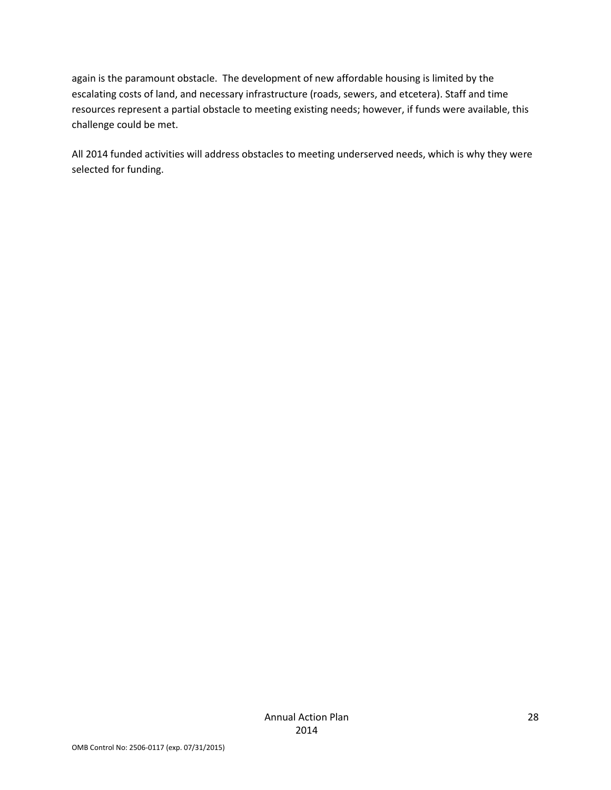again is the paramount obstacle. The development of new affordable housing is limited by the escalating costs of land, and necessary infrastructure (roads, sewers, and etcetera). Staff and time resources represent a partial obstacle to meeting existing needs; however, if funds were available, this challenge could be met.

All 2014 funded activities will address obstacles to meeting underserved needs, which is why they were selected for funding.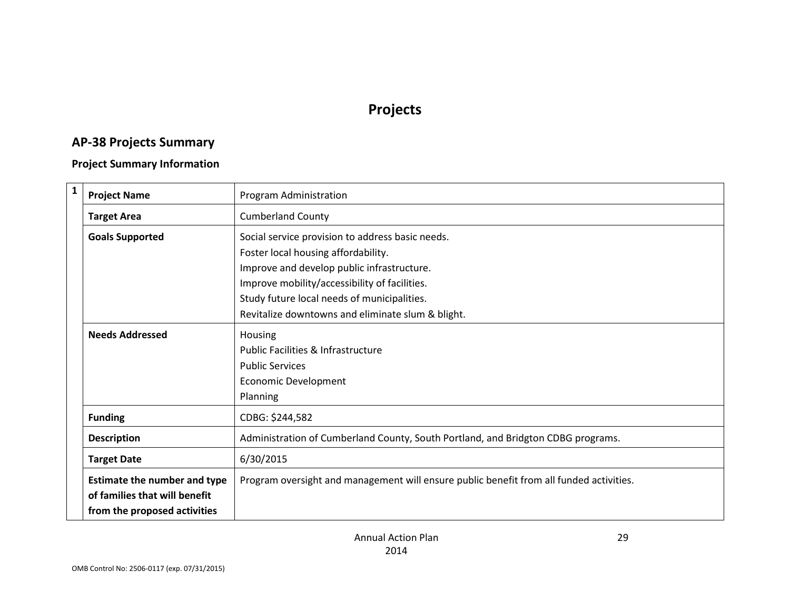# **Projects**

# **AP-38 Projects Summary**

### **Project Summary Information**

| $\mathbf{1}$ | <b>Project Name</b>                                                                                  | Program Administration                                                                  |
|--------------|------------------------------------------------------------------------------------------------------|-----------------------------------------------------------------------------------------|
|              | <b>Target Area</b>                                                                                   | <b>Cumberland County</b>                                                                |
|              | <b>Goals Supported</b>                                                                               | Social service provision to address basic needs.                                        |
|              |                                                                                                      | Foster local housing affordability.                                                     |
|              |                                                                                                      | Improve and develop public infrastructure.                                              |
|              |                                                                                                      | Improve mobility/accessibility of facilities.                                           |
|              |                                                                                                      | Study future local needs of municipalities.                                             |
|              |                                                                                                      | Revitalize downtowns and eliminate slum & blight.                                       |
|              | <b>Needs Addressed</b>                                                                               | Housing                                                                                 |
|              |                                                                                                      | <b>Public Facilities &amp; Infrastructure</b>                                           |
|              |                                                                                                      | <b>Public Services</b>                                                                  |
|              |                                                                                                      | Economic Development                                                                    |
|              |                                                                                                      | Planning                                                                                |
|              | <b>Funding</b>                                                                                       | CDBG: \$244,582                                                                         |
|              | <b>Description</b>                                                                                   | Administration of Cumberland County, South Portland, and Bridgton CDBG programs.        |
|              | <b>Target Date</b>                                                                                   | 6/30/2015                                                                               |
|              | <b>Estimate the number and type</b><br>of families that will benefit<br>from the proposed activities | Program oversight and management will ensure public benefit from all funded activities. |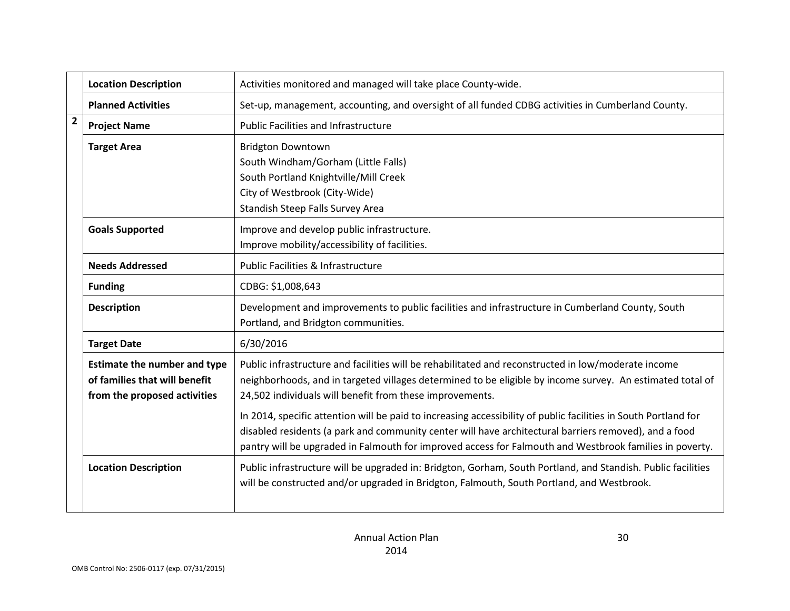|                | <b>Location Description</b>                                                                          | Activities monitored and managed will take place County-wide.                                                                                                                                                                                                                                                                       |
|----------------|------------------------------------------------------------------------------------------------------|-------------------------------------------------------------------------------------------------------------------------------------------------------------------------------------------------------------------------------------------------------------------------------------------------------------------------------------|
|                | <b>Planned Activities</b>                                                                            | Set-up, management, accounting, and oversight of all funded CDBG activities in Cumberland County.                                                                                                                                                                                                                                   |
| $\overline{2}$ | <b>Project Name</b>                                                                                  | <b>Public Facilities and Infrastructure</b>                                                                                                                                                                                                                                                                                         |
|                | <b>Target Area</b>                                                                                   | <b>Bridgton Downtown</b><br>South Windham/Gorham (Little Falls)<br>South Portland Knightville/Mill Creek<br>City of Westbrook (City-Wide)<br>Standish Steep Falls Survey Area                                                                                                                                                       |
|                | <b>Goals Supported</b>                                                                               | Improve and develop public infrastructure.<br>Improve mobility/accessibility of facilities.                                                                                                                                                                                                                                         |
|                | <b>Needs Addressed</b>                                                                               | Public Facilities & Infrastructure                                                                                                                                                                                                                                                                                                  |
|                | <b>Funding</b>                                                                                       | CDBG: \$1,008,643                                                                                                                                                                                                                                                                                                                   |
|                | <b>Description</b>                                                                                   | Development and improvements to public facilities and infrastructure in Cumberland County, South<br>Portland, and Bridgton communities.                                                                                                                                                                                             |
|                | <b>Target Date</b>                                                                                   | 6/30/2016                                                                                                                                                                                                                                                                                                                           |
|                | <b>Estimate the number and type</b><br>of families that will benefit<br>from the proposed activities | Public infrastructure and facilities will be rehabilitated and reconstructed in low/moderate income<br>neighborhoods, and in targeted villages determined to be eligible by income survey. An estimated total of<br>24,502 individuals will benefit from these improvements.                                                        |
|                |                                                                                                      | In 2014, specific attention will be paid to increasing accessibility of public facilities in South Portland for<br>disabled residents (a park and community center will have architectural barriers removed), and a food<br>pantry will be upgraded in Falmouth for improved access for Falmouth and Westbrook families in poverty. |
|                | <b>Location Description</b>                                                                          | Public infrastructure will be upgraded in: Bridgton, Gorham, South Portland, and Standish. Public facilities<br>will be constructed and/or upgraded in Bridgton, Falmouth, South Portland, and Westbrook.                                                                                                                           |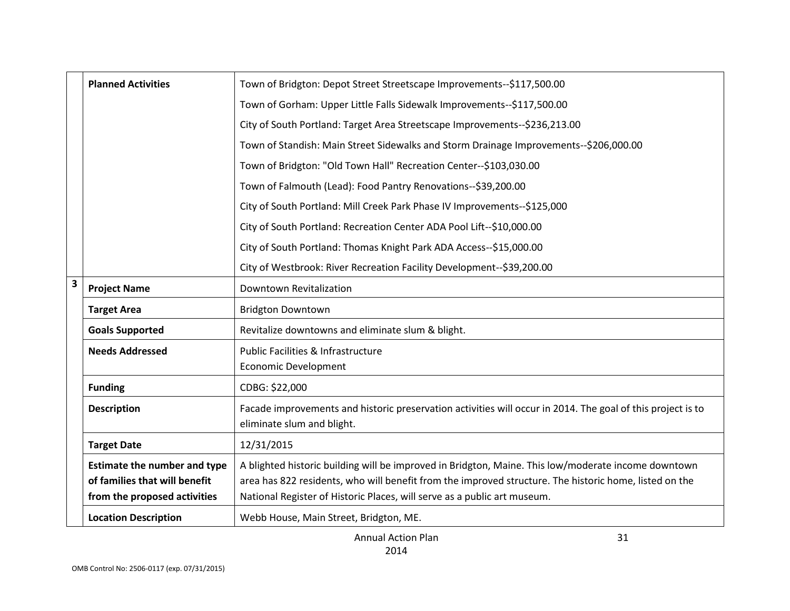|                         | <b>Planned Activities</b>                                                                            | Town of Bridgton: Depot Street Streetscape Improvements--\$117,500.00                                                                                                                                                                                                                     |
|-------------------------|------------------------------------------------------------------------------------------------------|-------------------------------------------------------------------------------------------------------------------------------------------------------------------------------------------------------------------------------------------------------------------------------------------|
|                         |                                                                                                      | Town of Gorham: Upper Little Falls Sidewalk Improvements--\$117,500.00                                                                                                                                                                                                                    |
|                         |                                                                                                      | City of South Portland: Target Area Streetscape Improvements--\$236,213.00                                                                                                                                                                                                                |
|                         |                                                                                                      | Town of Standish: Main Street Sidewalks and Storm Drainage Improvements--\$206,000.00                                                                                                                                                                                                     |
|                         |                                                                                                      | Town of Bridgton: "Old Town Hall" Recreation Center--\$103,030.00                                                                                                                                                                                                                         |
|                         |                                                                                                      | Town of Falmouth (Lead): Food Pantry Renovations--\$39,200.00                                                                                                                                                                                                                             |
|                         |                                                                                                      | City of South Portland: Mill Creek Park Phase IV Improvements--\$125,000                                                                                                                                                                                                                  |
|                         |                                                                                                      | City of South Portland: Recreation Center ADA Pool Lift--\$10,000.00                                                                                                                                                                                                                      |
|                         |                                                                                                      | City of South Portland: Thomas Knight Park ADA Access--\$15,000.00                                                                                                                                                                                                                        |
|                         |                                                                                                      | City of Westbrook: River Recreation Facility Development--\$39,200.00                                                                                                                                                                                                                     |
| $\overline{\mathbf{3}}$ | <b>Project Name</b>                                                                                  | Downtown Revitalization                                                                                                                                                                                                                                                                   |
|                         | <b>Target Area</b>                                                                                   | <b>Bridgton Downtown</b>                                                                                                                                                                                                                                                                  |
|                         | <b>Goals Supported</b>                                                                               | Revitalize downtowns and eliminate slum & blight.                                                                                                                                                                                                                                         |
|                         | <b>Needs Addressed</b>                                                                               | Public Facilities & Infrastructure<br><b>Economic Development</b>                                                                                                                                                                                                                         |
|                         | <b>Funding</b>                                                                                       | CDBG: \$22,000                                                                                                                                                                                                                                                                            |
|                         | <b>Description</b>                                                                                   | Facade improvements and historic preservation activities will occur in 2014. The goal of this project is to<br>eliminate slum and blight.                                                                                                                                                 |
|                         | <b>Target Date</b>                                                                                   | 12/31/2015                                                                                                                                                                                                                                                                                |
|                         | <b>Estimate the number and type</b><br>of families that will benefit<br>from the proposed activities | A blighted historic building will be improved in Bridgton, Maine. This low/moderate income downtown<br>area has 822 residents, who will benefit from the improved structure. The historic home, listed on the<br>National Register of Historic Places, will serve as a public art museum. |
|                         | <b>Location Description</b>                                                                          | Webb House, Main Street, Bridgton, ME.                                                                                                                                                                                                                                                    |

31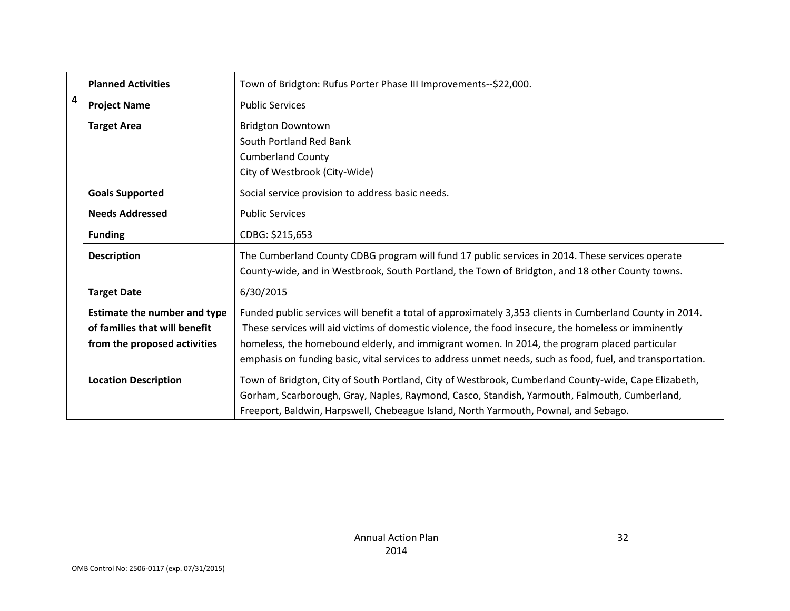|                | <b>Planned Activities</b>           | Town of Bridgton: Rufus Porter Phase III Improvements--\$22,000.                                                                                                                                                                                                                            |
|----------------|-------------------------------------|---------------------------------------------------------------------------------------------------------------------------------------------------------------------------------------------------------------------------------------------------------------------------------------------|
| $\overline{4}$ | <b>Project Name</b>                 | <b>Public Services</b>                                                                                                                                                                                                                                                                      |
|                | <b>Target Area</b>                  | <b>Bridgton Downtown</b>                                                                                                                                                                                                                                                                    |
|                |                                     | South Portland Red Bank                                                                                                                                                                                                                                                                     |
|                |                                     | <b>Cumberland County</b>                                                                                                                                                                                                                                                                    |
|                |                                     | City of Westbrook (City-Wide)                                                                                                                                                                                                                                                               |
|                | <b>Goals Supported</b>              | Social service provision to address basic needs.                                                                                                                                                                                                                                            |
|                | <b>Needs Addressed</b>              | <b>Public Services</b>                                                                                                                                                                                                                                                                      |
|                | <b>Funding</b>                      | CDBG: \$215,653                                                                                                                                                                                                                                                                             |
|                | <b>Description</b>                  | The Cumberland County CDBG program will fund 17 public services in 2014. These services operate                                                                                                                                                                                             |
|                |                                     | County-wide, and in Westbrook, South Portland, the Town of Bridgton, and 18 other County towns.                                                                                                                                                                                             |
|                | <b>Target Date</b>                  | 6/30/2015                                                                                                                                                                                                                                                                                   |
|                | <b>Estimate the number and type</b> | Funded public services will benefit a total of approximately 3,353 clients in Cumberland County in 2014.                                                                                                                                                                                    |
|                | of families that will benefit       | These services will aid victims of domestic violence, the food insecure, the homeless or imminently                                                                                                                                                                                         |
|                | from the proposed activities        | homeless, the homebound elderly, and immigrant women. In 2014, the program placed particular                                                                                                                                                                                                |
|                |                                     | emphasis on funding basic, vital services to address unmet needs, such as food, fuel, and transportation.                                                                                                                                                                                   |
|                | <b>Location Description</b>         | Town of Bridgton, City of South Portland, City of Westbrook, Cumberland County-wide, Cape Elizabeth,<br>Gorham, Scarborough, Gray, Naples, Raymond, Casco, Standish, Yarmouth, Falmouth, Cumberland,<br>Freeport, Baldwin, Harpswell, Chebeague Island, North Yarmouth, Pownal, and Sebago. |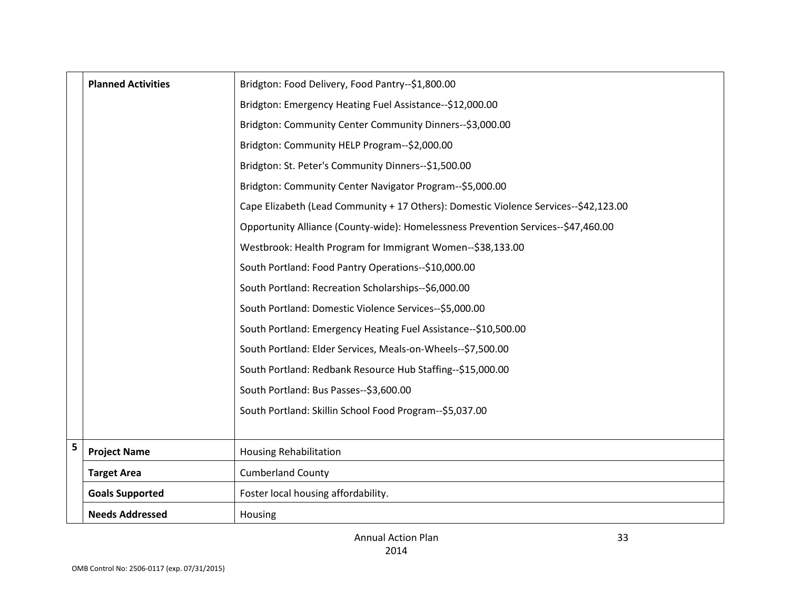|   | <b>Planned Activities</b> | Bridgton: Food Delivery, Food Pantry--\$1,800.00                                     |
|---|---------------------------|--------------------------------------------------------------------------------------|
|   |                           | Bridgton: Emergency Heating Fuel Assistance--\$12,000.00                             |
|   |                           | Bridgton: Community Center Community Dinners--\$3,000.00                             |
|   |                           | Bridgton: Community HELP Program--\$2,000.00                                         |
|   |                           | Bridgton: St. Peter's Community Dinners--\$1,500.00                                  |
|   |                           | Bridgton: Community Center Navigator Program--\$5,000.00                             |
|   |                           | Cape Elizabeth (Lead Community + 17 Others): Domestic Violence Services--\$42,123.00 |
|   |                           | Opportunity Alliance (County-wide): Homelessness Prevention Services--\$47,460.00    |
|   |                           | Westbrook: Health Program for Immigrant Women--\$38,133.00                           |
|   |                           | South Portland: Food Pantry Operations--\$10,000.00                                  |
|   |                           | South Portland: Recreation Scholarships--\$6,000.00                                  |
|   |                           | South Portland: Domestic Violence Services--\$5,000.00                               |
|   |                           | South Portland: Emergency Heating Fuel Assistance--\$10,500.00                       |
|   |                           | South Portland: Elder Services, Meals-on-Wheels--\$7,500.00                          |
|   |                           | South Portland: Redbank Resource Hub Staffing--\$15,000.00                           |
|   |                           | South Portland: Bus Passes--\$3,600.00                                               |
|   |                           | South Portland: Skillin School Food Program--\$5,037.00                              |
|   |                           |                                                                                      |
| 5 | <b>Project Name</b>       | <b>Housing Rehabilitation</b>                                                        |
|   | <b>Target Area</b>        | <b>Cumberland County</b>                                                             |
|   | <b>Goals Supported</b>    | Foster local housing affordability.                                                  |
|   | <b>Needs Addressed</b>    | Housing                                                                              |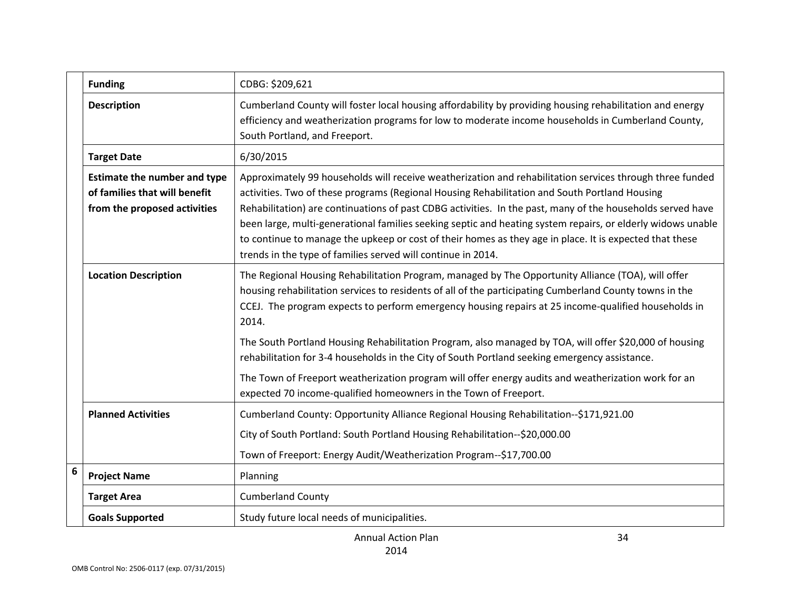|   | <b>Funding</b>                                                                                       | CDBG: \$209,621                                                                                                                                                                                                                                                                                                                                                                                                                                                                                                                                                                                                   |
|---|------------------------------------------------------------------------------------------------------|-------------------------------------------------------------------------------------------------------------------------------------------------------------------------------------------------------------------------------------------------------------------------------------------------------------------------------------------------------------------------------------------------------------------------------------------------------------------------------------------------------------------------------------------------------------------------------------------------------------------|
|   | <b>Description</b>                                                                                   | Cumberland County will foster local housing affordability by providing housing rehabilitation and energy<br>efficiency and weatherization programs for low to moderate income households in Cumberland County,<br>South Portland, and Freeport.                                                                                                                                                                                                                                                                                                                                                                   |
|   | <b>Target Date</b>                                                                                   | 6/30/2015                                                                                                                                                                                                                                                                                                                                                                                                                                                                                                                                                                                                         |
|   | <b>Estimate the number and type</b><br>of families that will benefit<br>from the proposed activities | Approximately 99 households will receive weatherization and rehabilitation services through three funded<br>activities. Two of these programs (Regional Housing Rehabilitation and South Portland Housing<br>Rehabilitation) are continuations of past CDBG activities. In the past, many of the households served have<br>been large, multi-generational families seeking septic and heating system repairs, or elderly widows unable<br>to continue to manage the upkeep or cost of their homes as they age in place. It is expected that these<br>trends in the type of families served will continue in 2014. |
|   | <b>Location Description</b>                                                                          | The Regional Housing Rehabilitation Program, managed by The Opportunity Alliance (TOA), will offer<br>housing rehabilitation services to residents of all of the participating Cumberland County towns in the<br>CCEJ. The program expects to perform emergency housing repairs at 25 income-qualified households in<br>2014.                                                                                                                                                                                                                                                                                     |
|   |                                                                                                      | The South Portland Housing Rehabilitation Program, also managed by TOA, will offer \$20,000 of housing<br>rehabilitation for 3-4 households in the City of South Portland seeking emergency assistance.                                                                                                                                                                                                                                                                                                                                                                                                           |
|   |                                                                                                      | The Town of Freeport weatherization program will offer energy audits and weatherization work for an<br>expected 70 income-qualified homeowners in the Town of Freeport.                                                                                                                                                                                                                                                                                                                                                                                                                                           |
|   | <b>Planned Activities</b>                                                                            | Cumberland County: Opportunity Alliance Regional Housing Rehabilitation--\$171,921.00                                                                                                                                                                                                                                                                                                                                                                                                                                                                                                                             |
|   |                                                                                                      | City of South Portland: South Portland Housing Rehabilitation--\$20,000.00                                                                                                                                                                                                                                                                                                                                                                                                                                                                                                                                        |
|   |                                                                                                      | Town of Freeport: Energy Audit/Weatherization Program--\$17,700.00                                                                                                                                                                                                                                                                                                                                                                                                                                                                                                                                                |
| 6 | <b>Project Name</b>                                                                                  | Planning                                                                                                                                                                                                                                                                                                                                                                                                                                                                                                                                                                                                          |
|   | <b>Target Area</b>                                                                                   | <b>Cumberland County</b>                                                                                                                                                                                                                                                                                                                                                                                                                                                                                                                                                                                          |
|   | <b>Goals Supported</b>                                                                               | Study future local needs of municipalities.                                                                                                                                                                                                                                                                                                                                                                                                                                                                                                                                                                       |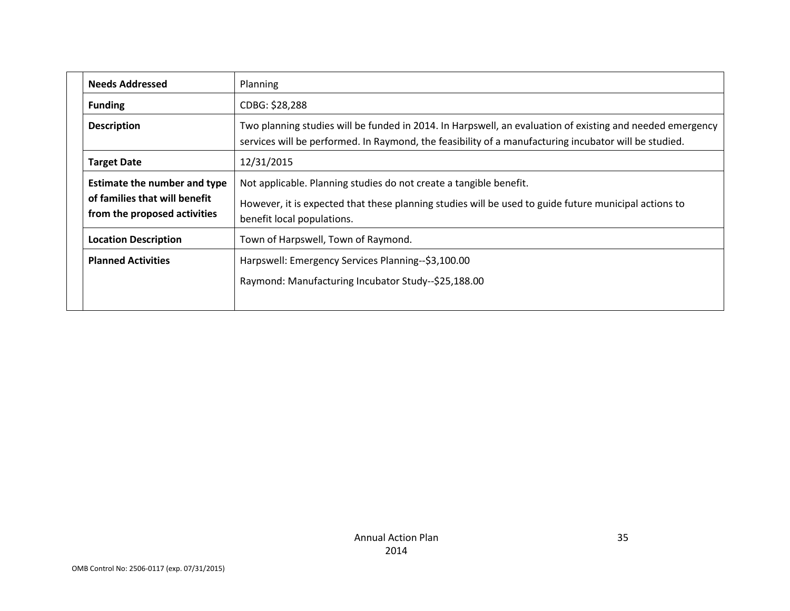| <b>Needs Addressed</b>                                                                               | <b>Planning</b>                                                                                                                                                                                                    |
|------------------------------------------------------------------------------------------------------|--------------------------------------------------------------------------------------------------------------------------------------------------------------------------------------------------------------------|
| <b>Funding</b>                                                                                       | CDBG: \$28,288                                                                                                                                                                                                     |
| <b>Description</b>                                                                                   | Two planning studies will be funded in 2014. In Harpswell, an evaluation of existing and needed emergency<br>services will be performed. In Raymond, the feasibility of a manufacturing incubator will be studied. |
| <b>Target Date</b>                                                                                   | 12/31/2015                                                                                                                                                                                                         |
| <b>Estimate the number and type</b><br>of families that will benefit<br>from the proposed activities | Not applicable. Planning studies do not create a tangible benefit.<br>However, it is expected that these planning studies will be used to guide future municipal actions to<br>benefit local populations.          |
| <b>Location Description</b>                                                                          | Town of Harpswell, Town of Raymond.                                                                                                                                                                                |
| <b>Planned Activities</b>                                                                            | Harpswell: Emergency Services Planning--\$3,100.00<br>Raymond: Manufacturing Incubator Study--\$25,188.00                                                                                                          |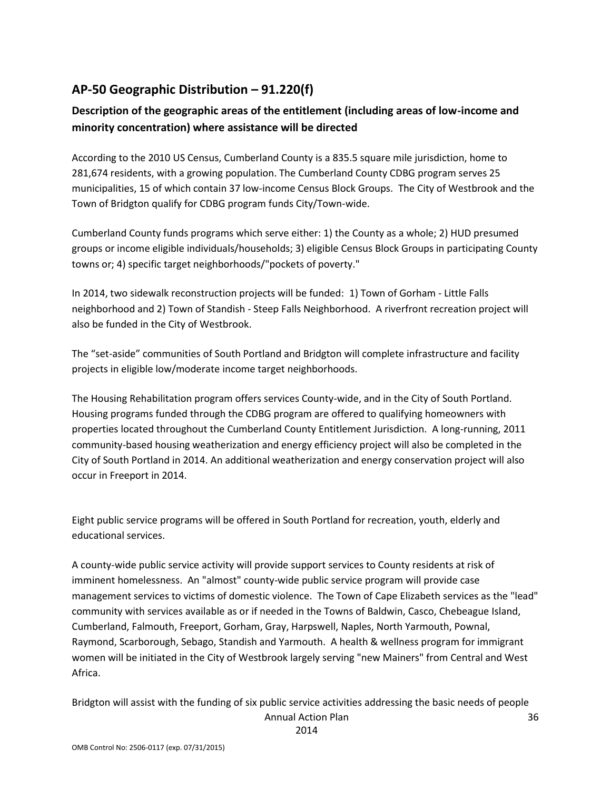## **AP-50 Geographic Distribution – 91.220(f)**

### **Description of the geographic areas of the entitlement (including areas of low-income and minority concentration) where assistance will be directed**

According to the 2010 US Census, Cumberland County is a 835.5 square mile jurisdiction, home to 281,674 residents, with a growing population. The Cumberland County CDBG program serves 25 municipalities, 15 of which contain 37 low-income Census Block Groups. The City of Westbrook and the Town of Bridgton qualify for CDBG program funds City/Town-wide.

Cumberland County funds programs which serve either: 1) the County as a whole; 2) HUD presumed groups or income eligible individuals/households; 3) eligible Census Block Groups in participating County towns or; 4) specific target neighborhoods/"pockets of poverty."

In 2014, two sidewalk reconstruction projects will be funded: 1) Town of Gorham - Little Falls neighborhood and 2) Town of Standish - Steep Falls Neighborhood. A riverfront recreation project will also be funded in the City of Westbrook.

The "set-aside" communities of South Portland and Bridgton will complete infrastructure and facility projects in eligible low/moderate income target neighborhoods.

The Housing Rehabilitation program offers services County-wide, and in the City of South Portland. Housing programs funded through the CDBG program are offered to qualifying homeowners with properties located throughout the Cumberland County Entitlement Jurisdiction. A long-running, 2011 community-based housing weatherization and energy efficiency project will also be completed in the City of South Portland in 2014. An additional weatherization and energy conservation project will also occur in Freeport in 2014.

Eight public service programs will be offered in South Portland for recreation, youth, elderly and educational services.

A county-wide public service activity will provide support services to County residents at risk of imminent homelessness. An "almost" county-wide public service program will provide case management services to victims of domestic violence. The Town of Cape Elizabeth services as the "lead" community with services available as or if needed in the Towns of Baldwin, Casco, Chebeague Island, Cumberland, Falmouth, Freeport, Gorham, Gray, Harpswell, Naples, North Yarmouth, Pownal, Raymond, Scarborough, Sebago, Standish and Yarmouth. A health & wellness program for immigrant women will be initiated in the City of Westbrook largely serving "new Mainers" from Central and West Africa.

Annual Action Plan Bridgton will assist with the funding of six public service activities addressing the basic needs of people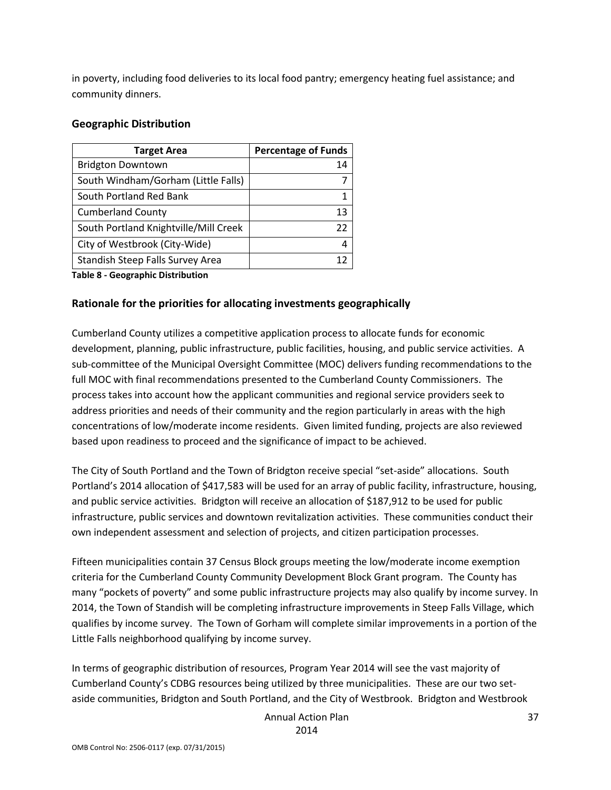in poverty, including food deliveries to its local food pantry; emergency heating fuel assistance; and community dinners.

#### **Geographic Distribution**

| <b>Percentage of Funds</b> |
|----------------------------|
| 14                         |
|                            |
|                            |
| 13                         |
| 22                         |
| 4                          |
| 12                         |
|                            |

**Table 8 - Geographic Distribution** 

#### **Rationale for the priorities for allocating investments geographically**

Cumberland County utilizes a competitive application process to allocate funds for economic development, planning, public infrastructure, public facilities, housing, and public service activities. A sub-committee of the Municipal Oversight Committee (MOC) delivers funding recommendations to the full MOC with final recommendations presented to the Cumberland County Commissioners. The process takes into account how the applicant communities and regional service providers seek to address priorities and needs of their community and the region particularly in areas with the high concentrations of low/moderate income residents. Given limited funding, projects are also reviewed based upon readiness to proceed and the significance of impact to be achieved.

The City of South Portland and the Town of Bridgton receive special "set-aside" allocations. South Portland's 2014 allocation of \$417,583 will be used for an array of public facility, infrastructure, housing, and public service activities. Bridgton will receive an allocation of \$187,912 to be used for public infrastructure, public services and downtown revitalization activities. These communities conduct their own independent assessment and selection of projects, and citizen participation processes.

Fifteen municipalities contain 37 Census Block groups meeting the low/moderate income exemption criteria for the Cumberland County Community Development Block Grant program. The County has many "pockets of poverty" and some public infrastructure projects may also qualify by income survey. In 2014, the Town of Standish will be completing infrastructure improvements in Steep Falls Village, which qualifies by income survey. The Town of Gorham will complete similar improvements in a portion of the Little Falls neighborhood qualifying by income survey.

In terms of geographic distribution of resources, Program Year 2014 will see the vast majority of Cumberland County's CDBG resources being utilized by three municipalities. These are our two setaside communities, Bridgton and South Portland, and the City of Westbrook. Bridgton and Westbrook

Annual Action Plan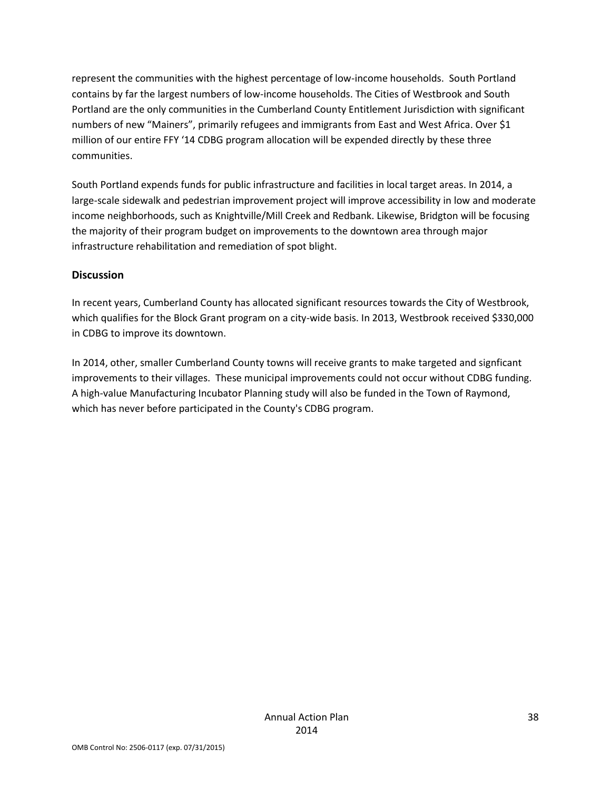represent the communities with the highest percentage of low-income households. South Portland contains by far the largest numbers of low-income households. The Cities of Westbrook and South Portland are the only communities in the Cumberland County Entitlement Jurisdiction with significant numbers of new "Mainers", primarily refugees and immigrants from East and West Africa. Over \$1 million of our entire FFY '14 CDBG program allocation will be expended directly by these three communities.

South Portland expends funds for public infrastructure and facilities in local target areas. In 2014, a large-scale sidewalk and pedestrian improvement project will improve accessibility in low and moderate income neighborhoods, such as Knightville/Mill Creek and Redbank. Likewise, Bridgton will be focusing the majority of their program budget on improvements to the downtown area through major infrastructure rehabilitation and remediation of spot blight.

### **Discussion**

In recent years, Cumberland County has allocated significant resources towards the City of Westbrook, which qualifies for the Block Grant program on a city-wide basis. In 2013, Westbrook received \$330,000 in CDBG to improve its downtown.

In 2014, other, smaller Cumberland County towns will receive grants to make targeted and signficant improvements to their villages. These municipal improvements could not occur without CDBG funding. A high-value Manufacturing Incubator Planning study will also be funded in the Town of Raymond, which has never before participated in the County's CDBG program.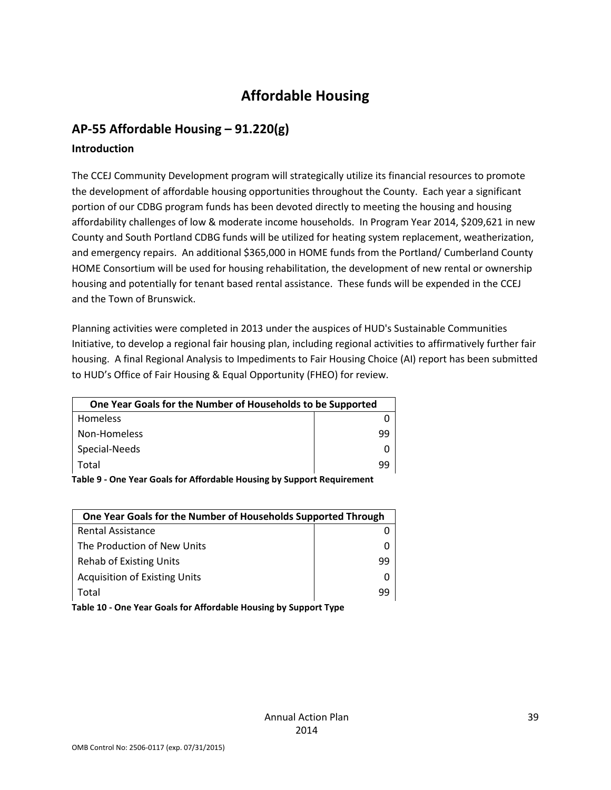# **Affordable Housing**

### **AP-55 Affordable Housing – 91.220(g)**

### **Introduction**

The CCEJ Community Development program will strategically utilize its financial resources to promote the development of affordable housing opportunities throughout the County. Each year a significant portion of our CDBG program funds has been devoted directly to meeting the housing and housing affordability challenges of low & moderate income households. In Program Year 2014, \$209,621 in new County and South Portland CDBG funds will be utilized for heating system replacement, weatherization, and emergency repairs. An additional \$365,000 in HOME funds from the Portland/ Cumberland County HOME Consortium will be used for housing rehabilitation, the development of new rental or ownership housing and potentially for tenant based rental assistance. These funds will be expended in the CCEJ and the Town of Brunswick.

Planning activities were completed in 2013 under the auspices of HUD's Sustainable Communities Initiative, to develop a regional fair housing plan, including regional activities to affirmatively further fair housing. A final Regional Analysis to Impediments to Fair Housing Choice (AI) report has been submitted to HUD's Office of Fair Housing & Equal Opportunity (FHEO) for review.

| One Year Goals for the Number of Households to be Supported |    |
|-------------------------------------------------------------|----|
| Homeless                                                    |    |
| Non-Homeless                                                | qq |
| Special-Needs                                               |    |
| Total                                                       | ٩q |
|                                                             |    |

**Table 9 - One Year Goals for Affordable Housing by Support Requirement**

| One Year Goals for the Number of Households Supported Through |    |
|---------------------------------------------------------------|----|
| <b>Rental Assistance</b>                                      |    |
| The Production of New Units                                   |    |
| Rehab of Existing Units                                       | 99 |
| <b>Acquisition of Existing Units</b>                          |    |
| Total                                                         | 99 |
|                                                               |    |

**Table 10 - One Year Goals for Affordable Housing by Support Type**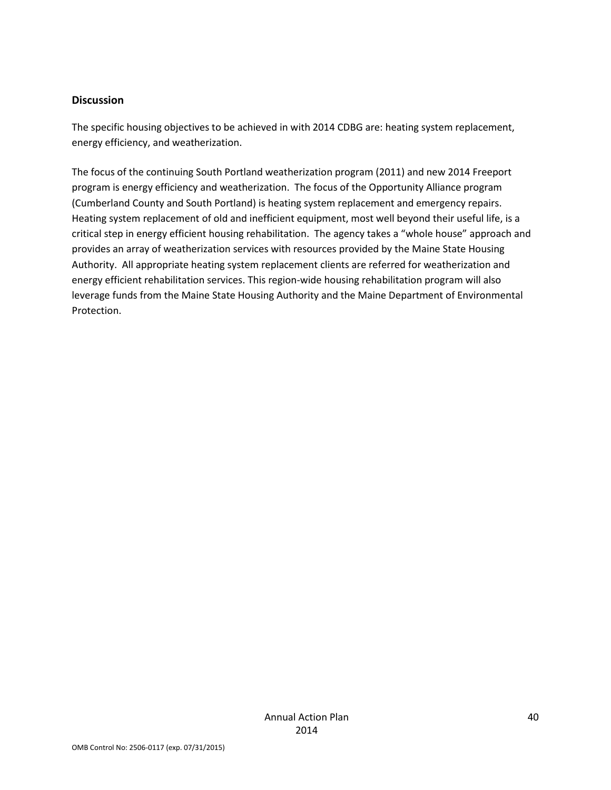#### **Discussion**

The specific housing objectives to be achieved in with 2014 CDBG are: heating system replacement, energy efficiency, and weatherization.

The focus of the continuing South Portland weatherization program (2011) and new 2014 Freeport program is energy efficiency and weatherization. The focus of the Opportunity Alliance program (Cumberland County and South Portland) is heating system replacement and emergency repairs. Heating system replacement of old and inefficient equipment, most well beyond their useful life, is a critical step in energy efficient housing rehabilitation. The agency takes a "whole house" approach and provides an array of weatherization services with resources provided by the Maine State Housing Authority. All appropriate heating system replacement clients are referred for weatherization and energy efficient rehabilitation services. This region-wide housing rehabilitation program will also leverage funds from the Maine State Housing Authority and the Maine Department of Environmental Protection.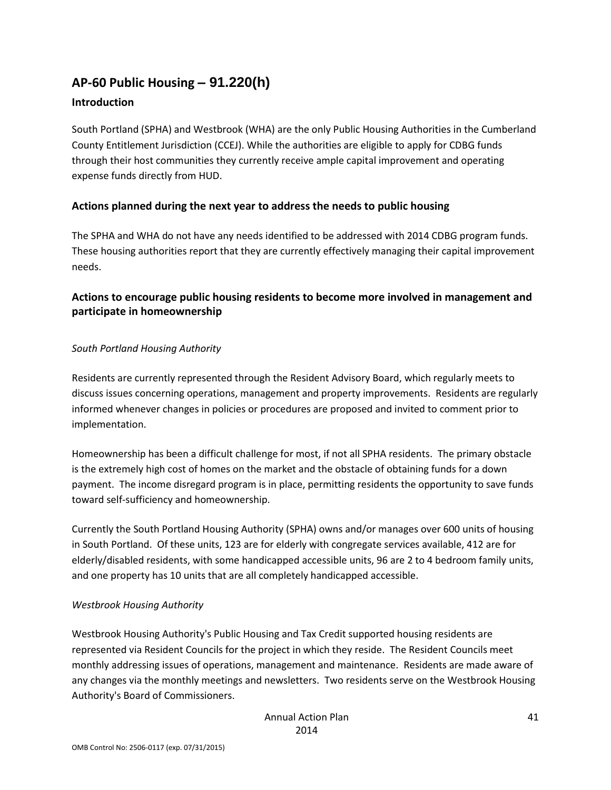# **AP-60 Public Housing** *–* **91.220(h)**

### **Introduction**

South Portland (SPHA) and Westbrook (WHA) are the only Public Housing Authorities in the Cumberland County Entitlement Jurisdiction (CCEJ). While the authorities are eligible to apply for CDBG funds through their host communities they currently receive ample capital improvement and operating expense funds directly from HUD.

### **Actions planned during the next year to address the needs to public housing**

The SPHA and WHA do not have any needs identified to be addressed with 2014 CDBG program funds. These housing authorities report that they are currently effectively managing their capital improvement needs.

### **Actions to encourage public housing residents to become more involved in management and participate in homeownership**

### *South Portland Housing Authority*

Residents are currently represented through the Resident Advisory Board, which regularly meets to discuss issues concerning operations, management and property improvements. Residents are regularly informed whenever changes in policies or procedures are proposed and invited to comment prior to implementation.

Homeownership has been a difficult challenge for most, if not all SPHA residents. The primary obstacle is the extremely high cost of homes on the market and the obstacle of obtaining funds for a down payment. The income disregard program is in place, permitting residents the opportunity to save funds toward self-sufficiency and homeownership.

Currently the South Portland Housing Authority (SPHA) owns and/or manages over 600 units of housing in South Portland. Of these units, 123 are for elderly with congregate services available, 412 are for elderly/disabled residents, with some handicapped accessible units, 96 are 2 to 4 bedroom family units, and one property has 10 units that are all completely handicapped accessible.

#### *Westbrook Housing Authority*

Westbrook Housing Authority's Public Housing and Tax Credit supported housing residents are represented via Resident Councils for the project in which they reside. The Resident Councils meet monthly addressing issues of operations, management and maintenance. Residents are made aware of any changes via the monthly meetings and newsletters. Two residents serve on the Westbrook Housing Authority's Board of Commissioners.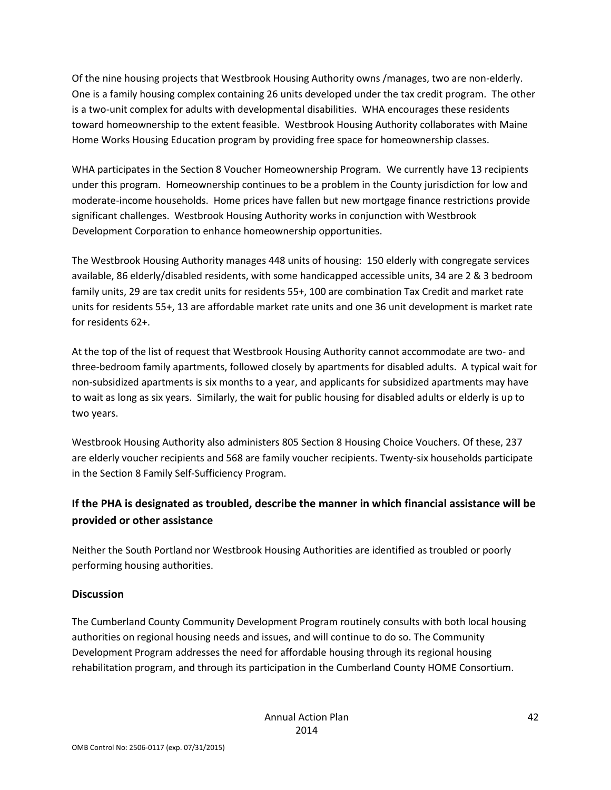Of the nine housing projects that Westbrook Housing Authority owns /manages, two are non-elderly. One is a family housing complex containing 26 units developed under the tax credit program. The other is a two-unit complex for adults with developmental disabilities. WHA encourages these residents toward homeownership to the extent feasible. Westbrook Housing Authority collaborates with Maine Home Works Housing Education program by providing free space for homeownership classes.

WHA participates in the Section 8 Voucher Homeownership Program. We currently have 13 recipients under this program. Homeownership continues to be a problem in the County jurisdiction for low and moderate-income households. Home prices have fallen but new mortgage finance restrictions provide significant challenges. Westbrook Housing Authority works in conjunction with Westbrook Development Corporation to enhance homeownership opportunities.

The Westbrook Housing Authority manages 448 units of housing: 150 elderly with congregate services available, 86 elderly/disabled residents, with some handicapped accessible units, 34 are 2 & 3 bedroom family units, 29 are tax credit units for residents 55+, 100 are combination Tax Credit and market rate units for residents 55+, 13 are affordable market rate units and one 36 unit development is market rate for residents 62+.

At the top of the list of request that Westbrook Housing Authority cannot accommodate are two- and three-bedroom family apartments, followed closely by apartments for disabled adults. A typical wait for non-subsidized apartments is six months to a year, and applicants for subsidized apartments may have to wait as long as six years. Similarly, the wait for public housing for disabled adults or elderly is up to two years.

Westbrook Housing Authority also administers 805 Section 8 Housing Choice Vouchers. Of these, 237 are elderly voucher recipients and 568 are family voucher recipients. Twenty-six households participate in the Section 8 Family Self-Sufficiency Program.

## **If the PHA is designated as troubled, describe the manner in which financial assistance will be provided or other assistance**

Neither the South Portland nor Westbrook Housing Authorities are identified as troubled or poorly performing housing authorities.

### **Discussion**

The Cumberland County Community Development Program routinely consults with both local housing authorities on regional housing needs and issues, and will continue to do so. The Community Development Program addresses the need for affordable housing through its regional housing rehabilitation program, and through its participation in the Cumberland County HOME Consortium.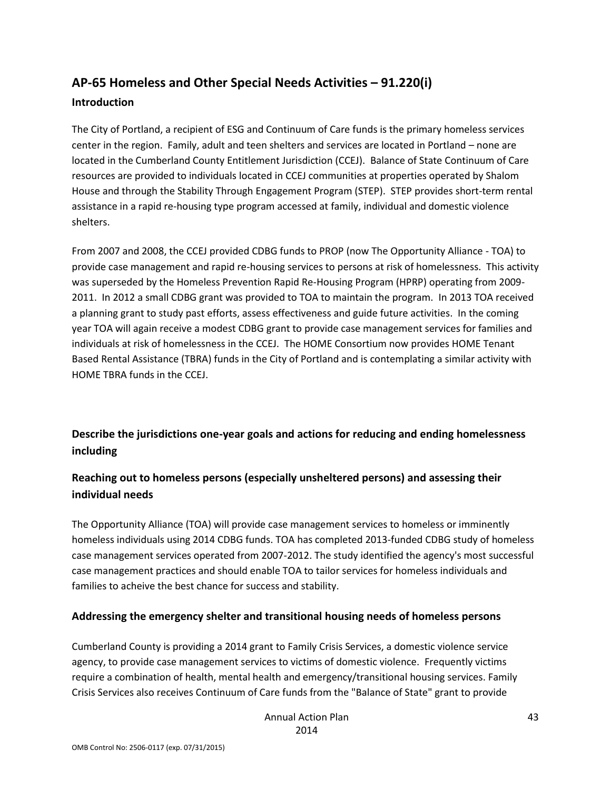# **AP-65 Homeless and Other Special Needs Activities – 91.220(i) Introduction**

The City of Portland, a recipient of ESG and Continuum of Care funds is the primary homeless services center in the region. Family, adult and teen shelters and services are located in Portland – none are located in the Cumberland County Entitlement Jurisdiction (CCEJ). Balance of State Continuum of Care resources are provided to individuals located in CCEJ communities at properties operated by Shalom House and through the Stability Through Engagement Program (STEP). STEP provides short-term rental assistance in a rapid re-housing type program accessed at family, individual and domestic violence shelters.

From 2007 and 2008, the CCEJ provided CDBG funds to PROP (now The Opportunity Alliance - TOA) to provide case management and rapid re-housing services to persons at risk of homelessness. This activity was superseded by the Homeless Prevention Rapid Re-Housing Program (HPRP) operating from 2009- 2011. In 2012 a small CDBG grant was provided to TOA to maintain the program. In 2013 TOA received a planning grant to study past efforts, assess effectiveness and guide future activities. In the coming year TOA will again receive a modest CDBG grant to provide case management services for families and individuals at risk of homelessness in the CCEJ. The HOME Consortium now provides HOME Tenant Based Rental Assistance (TBRA) funds in the City of Portland and is contemplating a similar activity with HOME TBRA funds in the CCEJ.

**Describe the jurisdictions one-year goals and actions for reducing and ending homelessness including**

### **Reaching out to homeless persons (especially unsheltered persons) and assessing their individual needs**

The Opportunity Alliance (TOA) will provide case management services to homeless or imminently homeless individuals using 2014 CDBG funds. TOA has completed 2013-funded CDBG study of homeless case management services operated from 2007-2012. The study identified the agency's most successful case management practices and should enable TOA to tailor services for homeless individuals and families to acheive the best chance for success and stability.

### **Addressing the emergency shelter and transitional housing needs of homeless persons**

Cumberland County is providing a 2014 grant to Family Crisis Services, a domestic violence service agency, to provide case management services to victims of domestic violence. Frequently victims require a combination of health, mental health and emergency/transitional housing services. Family Crisis Services also receives Continuum of Care funds from the "Balance of State" grant to provide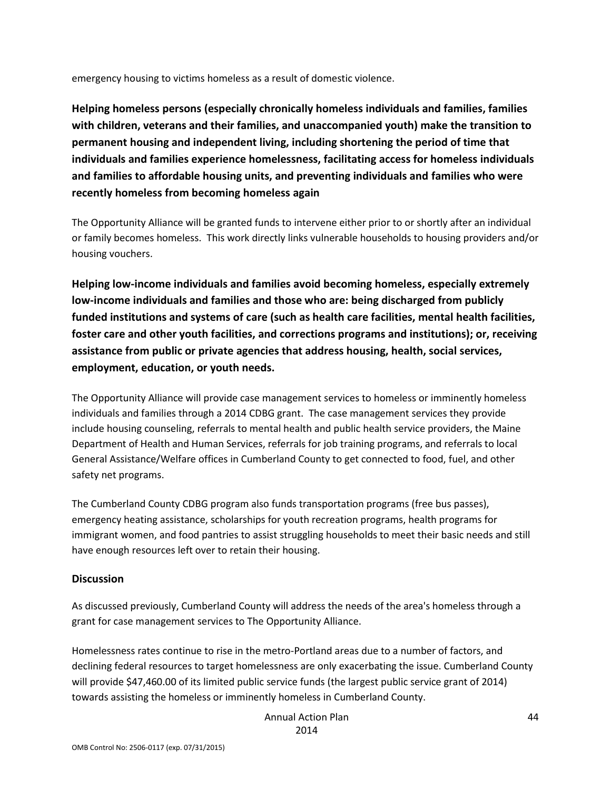emergency housing to victims homeless as a result of domestic violence.

**Helping homeless persons (especially chronically homeless individuals and families, families with children, veterans and their families, and unaccompanied youth) make the transition to permanent housing and independent living, including shortening the period of time that individuals and families experience homelessness, facilitating access for homeless individuals and families to affordable housing units, and preventing individuals and families who were recently homeless from becoming homeless again**

The Opportunity Alliance will be granted funds to intervene either prior to or shortly after an individual or family becomes homeless. This work directly links vulnerable households to housing providers and/or housing vouchers.

**Helping low-income individuals and families avoid becoming homeless, especially extremely low-income individuals and families and those who are: being discharged from publicly funded institutions and systems of care (such as health care facilities, mental health facilities, foster care and other youth facilities, and corrections programs and institutions); or, receiving assistance from public or private agencies that address housing, health, social services, employment, education, or youth needs.**

The Opportunity Alliance will provide case management services to homeless or imminently homeless individuals and families through a 2014 CDBG grant. The case management services they provide include housing counseling, referrals to mental health and public health service providers, the Maine Department of Health and Human Services, referrals for job training programs, and referrals to local General Assistance/Welfare offices in Cumberland County to get connected to food, fuel, and other safety net programs.

The Cumberland County CDBG program also funds transportation programs (free bus passes), emergency heating assistance, scholarships for youth recreation programs, health programs for immigrant women, and food pantries to assist struggling households to meet their basic needs and still have enough resources left over to retain their housing.

#### **Discussion**

As discussed previously, Cumberland County will address the needs of the area's homeless through a grant for case management services to The Opportunity Alliance.

Homelessness rates continue to rise in the metro-Portland areas due to a number of factors, and declining federal resources to target homelessness are only exacerbating the issue. Cumberland County will provide \$47,460.00 of its limited public service funds (the largest public service grant of 2014) towards assisting the homeless or imminently homeless in Cumberland County.

> Annual Action Plan 2014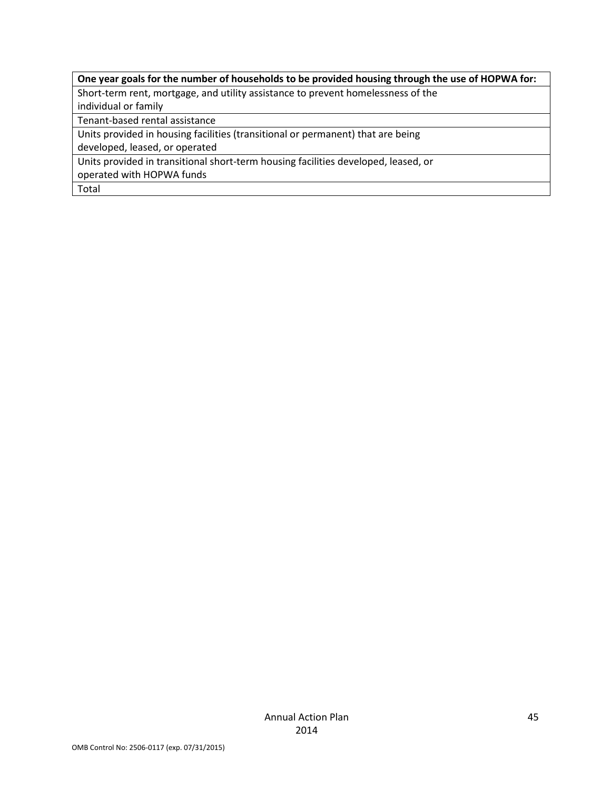### **One year goals for the number of households to be provided housing through the use of HOPWA for:**

Short-term rent, mortgage, and utility assistance to prevent homelessness of the

individual or family

Tenant-based rental assistance

Units provided in housing facilities (transitional or permanent) that are being

developed, leased, or operated

Units provided in transitional short-term housing facilities developed, leased, or

operated with HOPWA funds

Total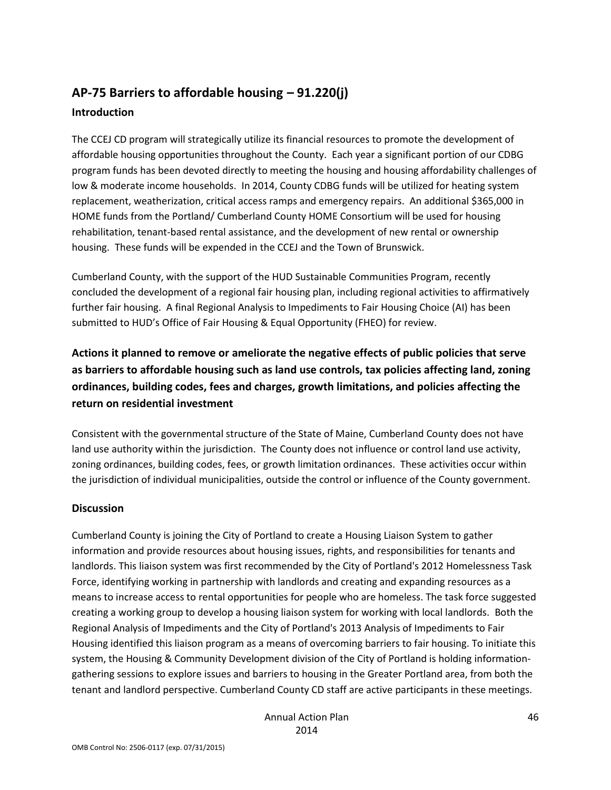# **AP-75 Barriers to affordable housing – 91.220(j) Introduction**

The CCEJ CD program will strategically utilize its financial resources to promote the development of affordable housing opportunities throughout the County. Each year a significant portion of our CDBG program funds has been devoted directly to meeting the housing and housing affordability challenges of low & moderate income households. In 2014, County CDBG funds will be utilized for heating system replacement, weatherization, critical access ramps and emergency repairs. An additional \$365,000 in HOME funds from the Portland/ Cumberland County HOME Consortium will be used for housing rehabilitation, tenant-based rental assistance, and the development of new rental or ownership housing. These funds will be expended in the CCEJ and the Town of Brunswick.

Cumberland County, with the support of the HUD Sustainable Communities Program, recently concluded the development of a regional fair housing plan, including regional activities to affirmatively further fair housing. A final Regional Analysis to Impediments to Fair Housing Choice (AI) has been submitted to HUD's Office of Fair Housing & Equal Opportunity (FHEO) for review.

**Actions it planned to remove or ameliorate the negative effects of public policies that serve as barriers to affordable housing such as land use controls, tax policies affecting land, zoning ordinances, building codes, fees and charges, growth limitations, and policies affecting the return on residential investment**

Consistent with the governmental structure of the State of Maine, Cumberland County does not have land use authority within the jurisdiction. The County does not influence or control land use activity, zoning ordinances, building codes, fees, or growth limitation ordinances. These activities occur within the jurisdiction of individual municipalities, outside the control or influence of the County government.

### **Discussion**

Cumberland County is joining the City of Portland to create a Housing Liaison System to gather information and provide resources about housing issues, rights, and responsibilities for tenants and landlords. This liaison system was first recommended by the City of Portland's 2012 Homelessness Task Force, identifying working in partnership with landlords and creating and expanding resources as a means to increase access to rental opportunities for people who are homeless. The task force suggested creating a working group to develop a housing liaison system for working with local landlords. Both the Regional Analysis of Impediments and the City of Portland's 2013 Analysis of Impediments to Fair Housing identified this liaison program as a means of overcoming barriers to fair housing. To initiate this system, the Housing & Community Development division of the City of Portland is holding informationgathering sessions to explore issues and barriers to housing in the Greater Portland area, from both the tenant and landlord perspective. Cumberland County CD staff are active participants in these meetings.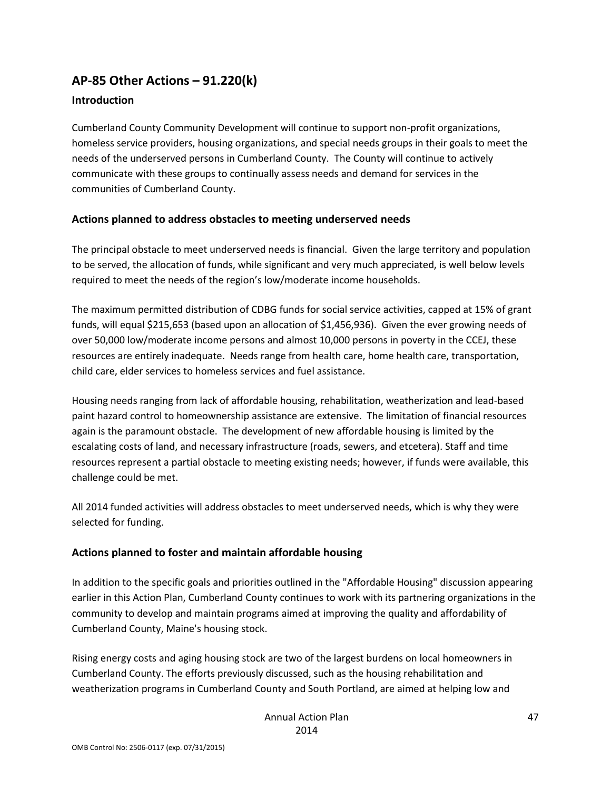### **AP-85 Other Actions – 91.220(k)**

### **Introduction**

Cumberland County Community Development will continue to support non-profit organizations, homeless service providers, housing organizations, and special needs groups in their goals to meet the needs of the underserved persons in Cumberland County. The County will continue to actively communicate with these groups to continually assess needs and demand for services in the communities of Cumberland County.

### **Actions planned to address obstacles to meeting underserved needs**

The principal obstacle to meet underserved needs is financial. Given the large territory and population to be served, the allocation of funds, while significant and very much appreciated, is well below levels required to meet the needs of the region's low/moderate income households.

The maximum permitted distribution of CDBG funds for social service activities, capped at 15% of grant funds, will equal \$215,653 (based upon an allocation of \$1,456,936). Given the ever growing needs of over 50,000 low/moderate income persons and almost 10,000 persons in poverty in the CCEJ, these resources are entirely inadequate. Needs range from health care, home health care, transportation, child care, elder services to homeless services and fuel assistance.

Housing needs ranging from lack of affordable housing, rehabilitation, weatherization and lead-based paint hazard control to homeownership assistance are extensive. The limitation of financial resources again is the paramount obstacle. The development of new affordable housing is limited by the escalating costs of land, and necessary infrastructure (roads, sewers, and etcetera). Staff and time resources represent a partial obstacle to meeting existing needs; however, if funds were available, this challenge could be met.

All 2014 funded activities will address obstacles to meet underserved needs, which is why they were selected for funding.

#### **Actions planned to foster and maintain affordable housing**

In addition to the specific goals and priorities outlined in the "Affordable Housing" discussion appearing earlier in this Action Plan, Cumberland County continues to work with its partnering organizations in the community to develop and maintain programs aimed at improving the quality and affordability of Cumberland County, Maine's housing stock.

Rising energy costs and aging housing stock are two of the largest burdens on local homeowners in Cumberland County. The efforts previously discussed, such as the housing rehabilitation and weatherization programs in Cumberland County and South Portland, are aimed at helping low and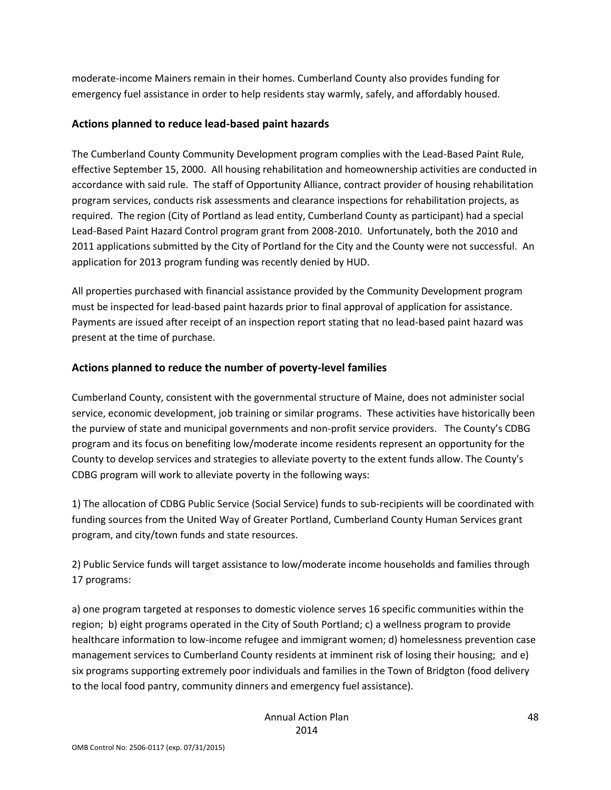moderate-income Mainers remain in their homes. Cumberland County also provides funding for emergency fuel assistance in order to help residents stay warmly, safely, and affordably housed.

### **Actions planned to reduce lead-based paint hazards**

The Cumberland County Community Development program complies with the Lead-Based Paint Rule, effective September 15, 2000. All housing rehabilitation and homeownership activities are conducted in accordance with said rule. The staff of Opportunity Alliance, contract provider of housing rehabilitation program services, conducts risk assessments and clearance inspections for rehabilitation projects, as required. The region (City of Portland as lead entity, Cumberland County as participant) had a special Lead-Based Paint Hazard Control program grant from 2008-2010. Unfortunately, both the 2010 and 2011 applications submitted by the City of Portland for the City and the County were not successful. An application for 2013 program funding was recently denied by HUD.

All properties purchased with financial assistance provided by the Community Development program must be inspected for lead-based paint hazards prior to final approval of application for assistance. Payments are issued after receipt of an inspection report stating that no lead-based paint hazard was present at the time of purchase.

### **Actions planned to reduce the number of poverty-level families**

Cumberland County, consistent with the governmental structure of Maine, does not administer social service, economic development, job training or similar programs. These activities have historically been the purview of state and municipal governments and non-profit service providers. The County's CDBG program and its focus on benefiting low/moderate income residents represent an opportunity for the County to develop services and strategies to alleviate poverty to the extent funds allow. The County's CDBG program will work to alleviate poverty in the following ways:

1) The allocation of CDBG Public Service (Social Service) funds to sub-recipients will be coordinated with funding sources from the United Way of Greater Portland, Cumberland County Human Services grant program, and city/town funds and state resources.

2) Public Service funds will target assistance to low/moderate income households and families through 17 programs:

a) one program targeted at responses to domestic violence serves 16 specific communities within the region; b) eight programs operated in the City of South Portland; c) a wellness program to provide healthcare information to low-income refugee and immigrant women; d) homelessness prevention case management services to Cumberland County residents at imminent risk of losing their housing; and e) six programs supporting extremely poor individuals and families in the Town of Bridgton (food delivery to the local food pantry, community dinners and emergency fuel assistance).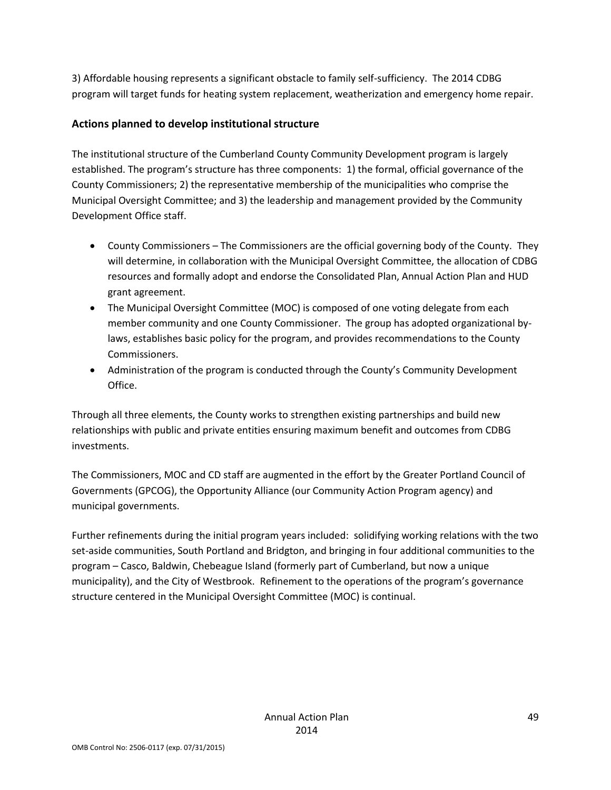3) Affordable housing represents a significant obstacle to family self-sufficiency. The 2014 CDBG program will target funds for heating system replacement, weatherization and emergency home repair.

### **Actions planned to develop institutional structure**

The institutional structure of the Cumberland County Community Development program is largely established. The program's structure has three components: 1) the formal, official governance of the County Commissioners; 2) the representative membership of the municipalities who comprise the Municipal Oversight Committee; and 3) the leadership and management provided by the Community Development Office staff.

- County Commissioners The Commissioners are the official governing body of the County. They will determine, in collaboration with the Municipal Oversight Committee, the allocation of CDBG resources and formally adopt and endorse the Consolidated Plan, Annual Action Plan and HUD grant agreement.
- The Municipal Oversight Committee (MOC) is composed of one voting delegate from each member community and one County Commissioner. The group has adopted organizational bylaws, establishes basic policy for the program, and provides recommendations to the County Commissioners.
- Administration of the program is conducted through the County's Community Development Office.

Through all three elements, the County works to strengthen existing partnerships and build new relationships with public and private entities ensuring maximum benefit and outcomes from CDBG investments.

The Commissioners, MOC and CD staff are augmented in the effort by the Greater Portland Council of Governments (GPCOG), the Opportunity Alliance (our Community Action Program agency) and municipal governments.

Further refinements during the initial program years included: solidifying working relations with the two set-aside communities, South Portland and Bridgton, and bringing in four additional communities to the program – Casco, Baldwin, Chebeague Island (formerly part of Cumberland, but now a unique municipality), and the City of Westbrook. Refinement to the operations of the program's governance structure centered in the Municipal Oversight Committee (MOC) is continual.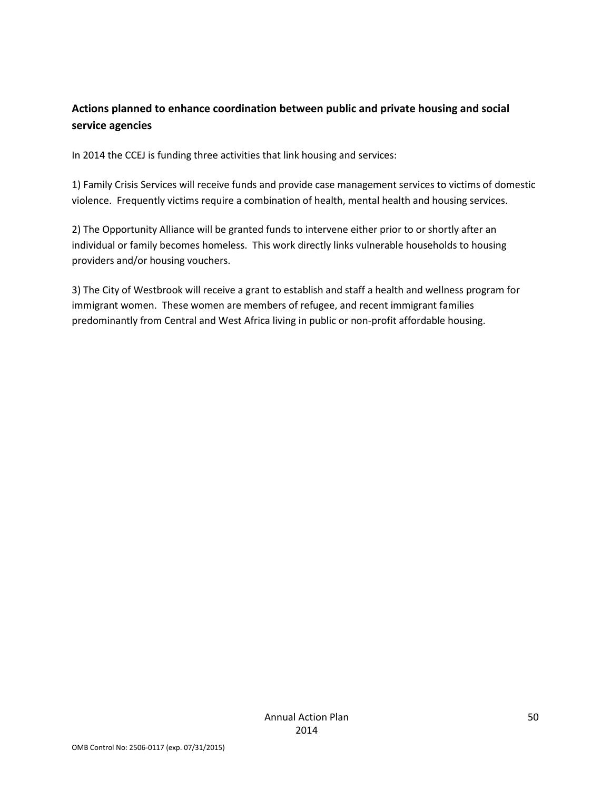### **Actions planned to enhance coordination between public and private housing and social service agencies**

In 2014 the CCEJ is funding three activities that link housing and services:

1) Family Crisis Services will receive funds and provide case management services to victims of domestic violence. Frequently victims require a combination of health, mental health and housing services.

2) The Opportunity Alliance will be granted funds to intervene either prior to or shortly after an individual or family becomes homeless. This work directly links vulnerable households to housing providers and/or housing vouchers.

3) The City of Westbrook will receive a grant to establish and staff a health and wellness program for immigrant women. These women are members of refugee, and recent immigrant families predominantly from Central and West Africa living in public or non-profit affordable housing.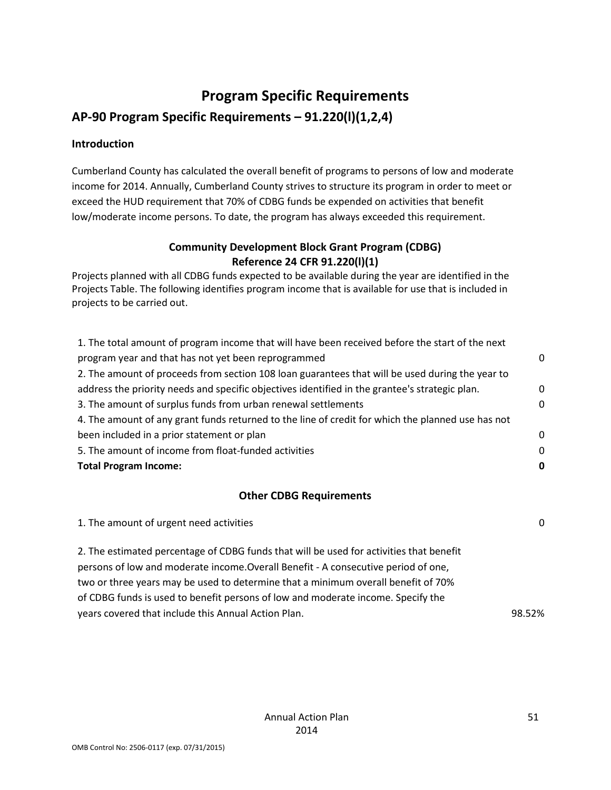# **Program Specific Requirements**

## **AP-90 Program Specific Requirements – 91.220(l)(1,2,4)**

### **Introduction**

Cumberland County has calculated the overall benefit of programs to persons of low and moderate income for 2014. Annually, Cumberland County strives to structure its program in order to meet or exceed the HUD requirement that 70% of CDBG funds be expended on activities that benefit low/moderate income persons. To date, the program has always exceeded this requirement.

### **Community Development Block Grant Program (CDBG) Reference 24 CFR 91.220(l)(1)**

Projects planned with all CDBG funds expected to be available during the year are identified in the Projects Table. The following identifies program income that is available for use that is included in projects to be carried out.

| 1. The total amount of program income that will have been received before the start of the next   |   |
|---------------------------------------------------------------------------------------------------|---|
| program year and that has not yet been reprogrammed                                               |   |
| 2. The amount of proceeds from section 108 loan guarantees that will be used during the year to   |   |
| address the priority needs and specific objectives identified in the grantee's strategic plan.    | 0 |
| 3. The amount of surplus funds from urban renewal settlements                                     |   |
| 4. The amount of any grant funds returned to the line of credit for which the planned use has not |   |
| been included in a prior statement or plan                                                        | 0 |
| 5. The amount of income from float-funded activities                                              |   |
| <b>Total Program Income:</b>                                                                      | 0 |
| <b>Other CDBG Requirements</b>                                                                    |   |
| 1. The amount of urgent need activities                                                           |   |

| 2. The estimated percentage of CDBG funds that will be used for activities that benefit |        |
|-----------------------------------------------------------------------------------------|--------|
| persons of low and moderate income. Overall Benefit - A consecutive period of one,      |        |
| two or three years may be used to determine that a minimum overall benefit of 70%       |        |
| of CDBG funds is used to benefit persons of low and moderate income. Specify the        |        |
| years covered that include this Annual Action Plan.                                     | 98.52% |